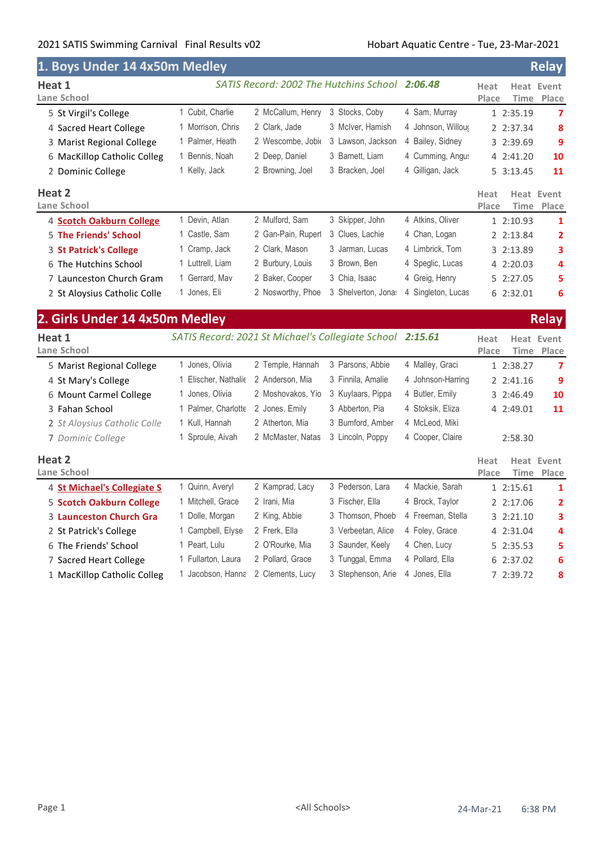| 1. Boys Under 14 4x50m Medley  |                                                           |                    |                                                |                    | <b>Relay</b>                                        |
|--------------------------------|-----------------------------------------------------------|--------------------|------------------------------------------------|--------------------|-----------------------------------------------------|
| Heat 1<br>Lane School          |                                                           |                    | SATIS Record: 2002 The Hutchins School 2:06.48 |                    | <b>Heat Event</b><br>Heat<br>Place<br>Time<br>Place |
| 5 St Virgil's College          | 1 Cubit, Charlie                                          | 2 McCallum, Henry  | 3 Stocks, Coby                                 | 4 Sam, Murray      | 1 2:35.19<br>$\overline{ }$                         |
| 4 Sacred Heart College         | 1 Morrison, Chris                                         | 2 Clark, Jade      | 3 McIver, Hamish                               | 4 Johnson, Willour | 8<br>2 2:37.34                                      |
| 3 Marist Regional College      | 1 Palmer, Heath                                           | 2 Wescombe, Jobio  | 3 Lawson, Jackson                              | 4 Bailey, Sidney   | 9<br>3 2:39.69                                      |
| 6 MacKillop Catholic Colleg    | 1 Bennis, Noah                                            | 2 Deep, Daniel     | 3 Barnett, Liam                                | 4 Cumming, Angus   | 4 2:41.20<br>10                                     |
| 2 Dominic College              | 1 Kelly, Jack                                             | 2 Browning, Joel   | 3 Bracken, Joel                                | 4 Gilligan, Jack   | 5 3:13.45<br>11                                     |
| Heat 2<br>Lane School          |                                                           |                    |                                                |                    | Heat<br><b>Heat Event</b><br>Place<br>Time<br>Place |
| 4 Scotch Oakburn College       | 1 Devin, Atlan                                            | 2 Mulford, Sam     | 3 Skipper, John                                | 4 Atkins, Oliver   | 1 2:10.93<br>1                                      |
| 5 The Friends' School          | 1 Castle, Sam                                             | 2 Gan-Pain, Ruperl | 3 Clues, Lachie                                | 4 Chan, Logan      | 2 2:13.84<br>$\overline{\mathbf{2}}$                |
| 3 St Patrick's College         | 1 Cramp, Jack                                             | 2 Clark, Mason     | 3 Jarman, Lucas                                | 4 Limbrick, Tom    | 3 2:13.89<br>3                                      |
| 6 The Hutchins School          | 1 Luttrell, Liam                                          | 2 Burbury, Louis   | 3 Brown, Ben                                   | 4 Speglic, Lucas   | 4 2:20.03<br>4                                      |
| 7 Launceston Church Gram       | 1 Gerrard, Mav                                            | 2 Baker, Cooper    | 3 Chia, Isaac                                  | 4 Greig, Henry     | 5 2:27.05<br>5                                      |
| 2 St Aloysius Catholic Colle   | 1 Jones, Eli                                              | 2 Nosworthy, Phoe  | 3 Shelverton, Jona:                            | 4 Singleton, Lucas | 6 2:32.01<br>6                                      |
| 2. Girls Under 14 4x50m Medley |                                                           |                    |                                                |                    | <b>Relay</b>                                        |
| Heat 1                         | SATIS Record: 2021 St Michael's Collegiate School 2:15.61 |                    |                                                |                    | <b>Heat Event</b><br>Heat                           |
| Lane School                    |                                                           |                    |                                                |                    | Place<br>Place<br>Time                              |
| 5 Marist Regional College      | 1 Jones, Olivia                                           | 2 Temple, Hannah   | 3 Parsons, Abbie                               | 4 Malley, Graci    | 1 2:38.27<br>7                                      |
| 4 St Mary's College            | 1 Elischer, Nathalie                                      | 2 Anderson, Mia    | 3 Finnila, Amalie                              | 4 Johnson-Harring  | 9<br>2 2:41.16                                      |
| 6 Mount Carmel College         | 1 Jones, Olivia                                           | 2 Moshovakos, Yio  | 3 Kuylaars, Pippa                              | 4 Butler, Emily    | 10<br>3 2:46.49                                     |
| 3 Fahan School                 | 1 Palmer, Charlotte                                       | 2 Jones, Emily     | 3 Abberton, Pia                                | 4 Stoksik, Eliza   | 11<br>4 2:49.01                                     |
| 2 St Aloysius Catholic Colle   | 1 Kull, Hannah                                            | 2 Atherton, Mia    | 3 Bumford, Amber                               | 4 McLeod, Miki     |                                                     |
| 7 Dominic College              | 1 Sproule, Aivah                                          | 2 McMaster, Natas  | 3 Lincoln, Poppy                               | 4 Cooper, Claire   | 2:58.30                                             |
| Heat 2<br>Lane School          |                                                           |                    |                                                |                    | <b>Heat Event</b><br>Heat<br>Place<br>Time<br>Place |
| 4 St Michael's Collegiate S    | 1 Quinn, Averyl                                           | 2 Kamprad, Lacy    | 3 Pederson, Lara                               | 4 Mackie, Sarah    | 1 2:15.61<br>1                                      |
| 5 Scotch Oakburn College       | 1 Mitchell, Grace                                         | 2 Irani, Mia       | 3 Fischer, Ella                                | 4 Brock, Taylor    | 2 2:17.06<br>2                                      |
| <b>3 Launceston Church Gra</b> | 1 Dolle, Morgan                                           | 2 King, Abbie      | 3 Thomson, Phoeb                               | 4 Freeman, Stella  | 3 2:21.10<br>3                                      |
| 2 St Patrick's College         | 1 Campbell, Elyse                                         | 2 Frerk, Ella      | 3 Verbeetan, Alice                             | 4 Foley, Grace     | 4 2:31.04<br>4                                      |
| 6 The Friends' School          | 1 Peart, Lulu                                             | 2 O'Rourke, Mia    | 3 Saunder, Keely                               | 4 Chen, Lucy       | 5 2:35.53<br>5                                      |
| 7 Sacred Heart College         | 1 Fullarton, Laura                                        | 2 Pollard, Grace   | 3 Tunggal, Emma                                | 4 Pollard, Ella    | 6 2:37.02<br>6                                      |
| 1 MacKillop Catholic Colleg    | 1 Jacobson, Hanna                                         | 2 Clements, Lucy   | 3 Stephenson, Arie                             | 4 Jones, Ella      | 7 2:39.72<br>8                                      |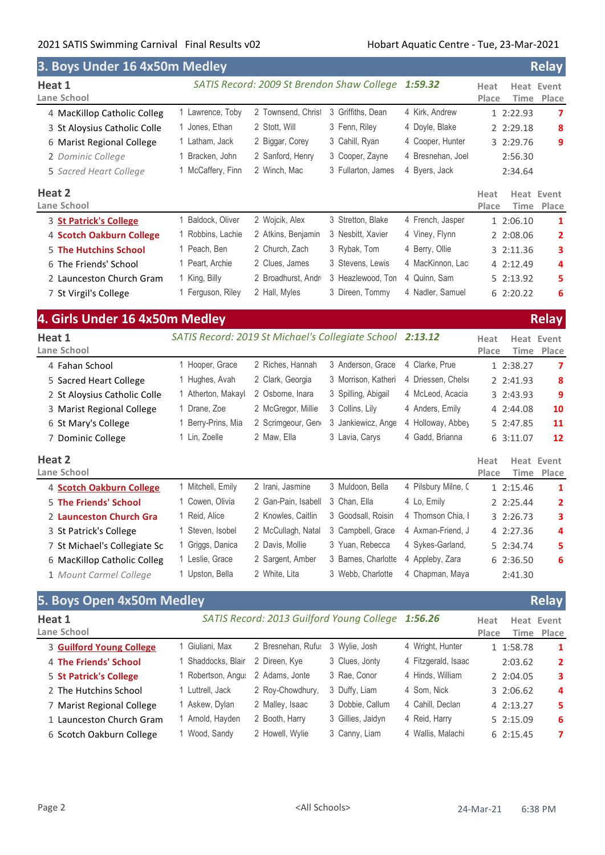| 3. Boys Under 16 4x50m Medley  |                                                           |                     |                                            |                     |               |           | <b>Relay</b>        |
|--------------------------------|-----------------------------------------------------------|---------------------|--------------------------------------------|---------------------|---------------|-----------|---------------------|
| Heat 1                         |                                                           |                     | SATIS Record: 2009 St Brendon Shaw College | 1:59.32             | Heat          |           | <b>Heat Event</b>   |
| Lane School                    |                                                           |                     |                                            |                     | Place         | Time      | Place               |
| 4 MacKillop Catholic Colleg    | 1 Lawrence, Toby                                          | 2 Townsend, Christ  | 3 Griffiths, Dean                          | 4 Kirk, Andrew      |               | 1 2:22.93 | 7                   |
| 3 St Aloysius Catholic Colle   | 1 Jones, Ethan                                            | 2 Stott, Will       | 3 Fenn, Riley                              | 4 Doyle, Blake      |               | 2 2:29.18 | 8                   |
| 6 Marist Regional College      | 1 Latham, Jack                                            | 2 Biggar, Corey     | 3 Cahill, Ryan                             | 4 Cooper, Hunter    |               | 3 2:29.76 | 9                   |
| 2 Dominic College              | 1 Bracken, John                                           | 2 Sanford, Henry    | 3 Cooper, Zayne                            | 4 Bresnehan, Joel   |               | 2:56.30   |                     |
| 5 Sacred Heart College         | 1 McCaffery, Finn                                         | 2 Winch, Mac        | 3 Fullarton, James                         | 4 Byers, Jack       |               | 2:34.64   |                     |
| Heat 2                         |                                                           |                     |                                            |                     | Heat          | Heat      | Event               |
| Lane School                    |                                                           |                     |                                            |                     | Place         | Time      | Place               |
| 3 St Patrick's College         | 1 Baldock, Oliver                                         | 2 Wojcik, Alex      | 3 Stretton, Blake                          | 4 French, Jasper    |               | 1 2:06.10 | 1                   |
| 4 Scotch Oakburn College       | 1 Robbins, Lachie                                         | 2 Atkins, Benjamin  | 3 Nesbitt, Xavier                          | 4 Viney, Flynn      |               | 2 2:08.06 | 2                   |
| <b>5 The Hutchins School</b>   | 1 Peach, Ben                                              | 2 Church, Zach      | 3 Rybak, Tom                               | 4 Berry, Ollie      |               | 3 2:11.36 | з                   |
| 6 The Friends' School          | 1 Peart, Archie                                           | 2 Clues, James      | 3 Stevens, Lewis                           | 4 MacKinnon, Lac    |               | 4 2:12.49 | 4                   |
| 2 Launceston Church Gram       | 1 King, Billy                                             | 2 Broadhurst, Andr  | 3 Heazlewood, Ton                          | 4 Quinn, Sam        |               | 5 2:13.92 | 5                   |
| 7 St Virgil's College          | 1 Ferguson, Riley                                         | 2 Hall, Myles       | 3 Direen, Tommy                            | 4 Nadler, Samuel    |               | 6 2:20.22 | 6                   |
| 4. Girls Under 16 4x50m Medley |                                                           |                     |                                            |                     |               |           | <b>Relay</b>        |
| Heat 1                         | SATIS Record: 2019 St Michael's Collegiate School 2:13.12 |                     |                                            |                     | Heat          |           | <b>Heat Event</b>   |
| Lane School                    |                                                           |                     |                                            |                     | Place         | Time      | Place               |
| 4 Fahan School                 | 1 Hooper, Grace                                           | 2 Riches, Hannah    | 3 Anderson, Grace                          | 4 Clarke, Prue      |               | 1 2:38.27 | 7                   |
| 5 Sacred Heart College         | 1 Hughes, Avah                                            | 2 Clark, Georgia    | 3 Morrison, Katheri                        | 4 Driessen, Chelse  |               | 2 2:41.93 | 8                   |
| 2 St Aloysius Catholic Colle   | 1 Atherton, Makayl                                        | 2 Osborne, Inara    | 3 Spilling, Abigail                        | 4 McLeod, Acacia    |               | 3 2:43.93 | 9                   |
| 3 Marist Regional College      | 1 Drane, Zoe                                              | 2 McGregor, Millie  | 3 Collins, Lily                            | 4 Anders, Emily     |               | 4 2:44.08 | 10                  |
| 6 St Mary's College            | 1 Berry-Prins, Mia                                        | 2 Scrimgeour, Gen   | 3 Jankiewicz, Ange                         | 4 Holloway, Abbey   |               | 5 2:47.85 | 11                  |
| 7 Dominic College              | 1 Lin, Zoelle                                             | 2 Maw, Ella         | 3 Lavia, Carys                             | 4 Gadd, Brianna     |               | 6 3:11.07 | 12                  |
| Heat 2                         |                                                           |                     |                                            |                     |               |           |                     |
| Lane School                    |                                                           |                     |                                            |                     | Heat<br>Place | Time      | Heat Event<br>Place |
| 4 Scotch Oakburn College       | 1 Mitchell, Emily                                         | 2 Irani, Jasmine    | 3 Muldoon, Bella                           | 4 Pilsbury Milne, C |               | 1 2:15.46 | 1                   |
| 5 The Friends' School          | 1 Cowen, Olivia                                           | 2 Gan-Pain, Isabell | 3 Chan, Ella                               | 4 Lo, Emily         |               | 2 2:25.44 | 2                   |
| 2 Launceston Church Gra        | 1 Reid, Alice                                             | 2 Knowles, Caitlin  | 3 Goodsall, Roisin                         | 4 Thomson Chia, I   |               | 3 2:26.73 | 3                   |
| 3 St Patrick's College         | 1 Steven, Isobel                                          | 2 McCullagh, Natal  | 3 Campbell, Grace                          | 4 Axman-Friend, J   |               | 4 2:27.36 | 4                   |
| 7 St Michael's Collegiate Sc   | 1 Griggs, Danica                                          | 2 Davis, Mollie     | 3 Yuan, Rebecca                            | 4 Sykes-Garland,    |               | 5 2:34.74 | 5                   |
| 6 MacKillop Catholic Colleg    | 1 Leslie, Grace                                           | 2 Sargent, Amber    | 3 Barnes, Charlotte                        | 4 Appleby, Zara     |               | 6 2:36.50 | 6                   |
| 1 Mount Carmel College         | 1 Upston, Bella                                           | 2 White, Lita       | 3 Webb, Charlotte                          | 4 Chapman, Maya     |               | 2:41.30   |                     |
|                                |                                                           |                     |                                            |                     |               |           |                     |
| 5. Boys Open 4x50m Medley      |                                                           |                     |                                            |                     |               |           | <b>Relay</b>        |
| Heat 1                         |                                                           |                     | SATIS Record: 2013 Guilford Young College  | 1:56.26             | Heat          |           | <b>Heat Event</b>   |
| Lane School                    |                                                           |                     |                                            |                     | Place         | Time      | Place               |
| 3 Guilford Young College       | 1 Giuliani, Max                                           | 2 Bresnehan, Rufu:  | 3 Wylie, Josh                              | 4 Wright, Hunter    |               | 1 1:58.78 | 1                   |
| 4 The Friends' School          | 1 Shaddocks, Blair                                        | 2 Direen, Kye       | 3 Clues, Jonty                             | 4 Fitzgerald, Isaac |               | 2:03.62   | 2                   |
| 5 St Patrick's College         | 1 Robertson, Angus                                        | 2 Adams, Jonte      | 3 Rae, Conor                               | 4 Hinds, William    |               | 2 2:04.05 | з                   |
| 2 The Hutchins School          | 1 Luttrell, Jack                                          | 2 Roy-Chowdhury,    | 3 Duffy, Liam                              | 4 Som, Nick         |               | 3 2:06.62 | 4                   |
| 7 Marist Regional College      | 1 Askew, Dylan                                            | 2 Malley, Isaac     | 3 Dobbie, Callum                           | 4 Cahill, Declan    |               | 4 2:13.27 | 5                   |
| 1 Launceston Church Gram       | 1 Arnold, Hayden                                          | 2 Booth, Harry      | 3 Gillies, Jaidyn                          | 4 Reid, Harry       |               | 5 2:15.09 | 6                   |
| 6 Scotch Oakburn College       | 1 Wood, Sandy                                             | 2 Howell, Wylie     | 3 Canny, Liam                              | 4 Wallis, Malachi   |               | 6 2:15.45 | 7                   |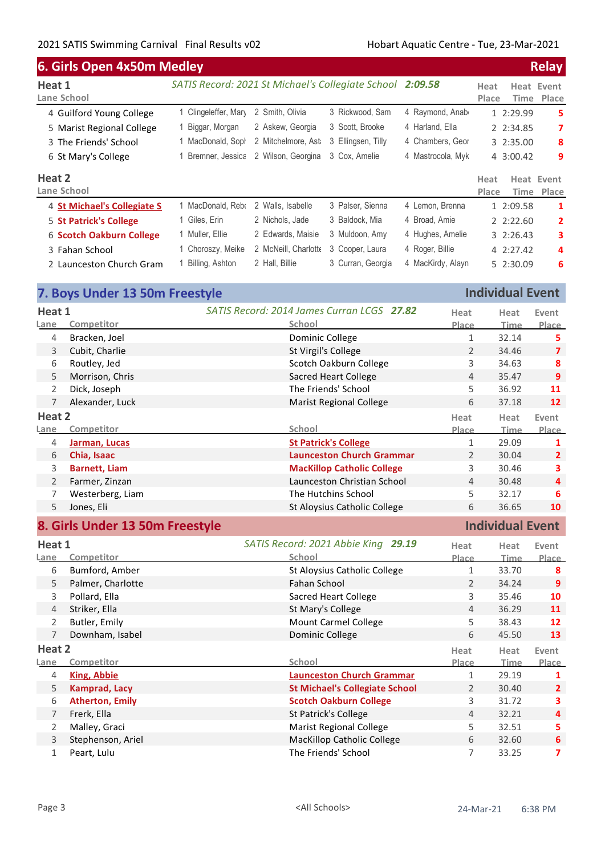| 6. Girls Open 4x50m Medley  |                                                           |                      |                    |                   |               |               | <b>Relay</b>        |
|-----------------------------|-----------------------------------------------------------|----------------------|--------------------|-------------------|---------------|---------------|---------------------|
| Heat 1<br>Lane School       | SATIS Record: 2021 St Michael's Collegiate School 2:09.58 |                      |                    |                   | Heat<br>Place | Heat          | Event<br>Time Place |
| 4 Guilford Young College    | 1 Clingeleffer, Mary                                      | 2 Smith, Olivia      | 3 Rickwood, Sam    | 4 Raymond, Anab   |               | 1 2:29.99     | 5                   |
| 5 Marist Regional College   | 1 Biggar, Morgan                                          | 2 Askew, Georgia     | 3 Scott, Brooke    | 4 Harland, Ella   |               | 2 2:34.85     | 7                   |
| 3 The Friends' School       | 1 MacDonald, Soph                                         | 2 Mitchelmore, Ast   | 3 Ellingsen, Tilly | 4 Chambers, Geor  |               | 3 2:35.00     | 8                   |
| 6 St Mary's College         | Bremner, Jessica                                          | 2 Wilson, Georgina   | 3 Cox, Amelie      | 4 Mastrocola, Myk |               | 4 3:00.42     | 9                   |
| Heat 2                      |                                                           |                      |                    |                   | Heat          | Heat          | Event               |
| Lane School                 |                                                           |                      |                    |                   | Place         | Time          | Place               |
| 4 St Michael's Collegiate S | 1 MacDonald, Rebe                                         | 2 Walls, Isabelle    | 3 Palser, Sienna   | 4 Lemon, Brenna   |               | 1 2:09.58     | 1                   |
| 5 St Patrick's College      | 1 Giles, Erin                                             | 2 Nichols, Jade      | 3 Baldock, Mia     | 4 Broad, Amie     |               | 2.2:22.60     | $\overline{2}$      |
| 6 Scotch Oakburn College    | 1 Muller, Ellie                                           | 2 Edwards, Maisie    | 3 Muldoon, Amy     | 4 Hughes, Amelie  |               | $3 \t2:26.43$ | 3                   |
| 3 Fahan School              | 1 Choroszy, Meike                                         | 2 McNeill, Charlotte | 3 Cooper, Laura    | 4 Roger, Billie   |               | 4 2:27.42     | 4                   |
| 2 Launceston Church Gram    | Billing, Ashton                                           | 2 Hall, Billie       | 3 Curran, Georgia  | 4 MacKirdy, Alayn |               | 5 2:30.09     | 6                   |

|                                 | 7. Boys Under 13 50m Freestyle |                                            | <b>Individual Event</b> |                         |                         |
|---------------------------------|--------------------------------|--------------------------------------------|-------------------------|-------------------------|-------------------------|
| Heat 1                          |                                | SATIS Record: 2014 James Curran LCGS 27.82 | Heat                    | Heat                    | Event                   |
| Lane                            | Competitor                     | School                                     | Place                   | <b>Time</b>             | Place                   |
| 4                               | Bracken, Joel                  | Dominic College                            | $\mathbf{1}$            | 32.14                   | 5                       |
| 3                               | Cubit, Charlie                 | St Virgil's College                        | $\overline{2}$          | 34.46                   | $\overline{7}$          |
| 6                               | Routley, Jed                   | Scotch Oakburn College                     | 3                       | 34.63                   | $\boldsymbol{8}$        |
| 5                               | Morrison, Chris                | <b>Sacred Heart College</b>                | $\overline{4}$          | 35.47                   | $\overline{9}$          |
| $\overline{2}$                  | Dick, Joseph                   | The Friends' School                        | 5                       | 36.92                   | 11                      |
| $\overline{7}$                  | Alexander, Luck                | <b>Marist Regional College</b>             | 6                       | 37.18                   | $12 \overline{ }$       |
| Heat 2                          |                                |                                            | Heat                    | Heat                    | Event                   |
| <b>Lane</b>                     | Competitor                     | School                                     | <b>Place</b>            | Time                    | Place                   |
| 4                               | Jarman, Lucas                  | <b>St Patrick's College</b>                | $\mathbf{1}$            | 29.09                   | 1                       |
| 6                               | Chia, Isaac                    | <b>Launceston Church Grammar</b>           | $\overline{2}$          | 30.04                   | $\overline{2}$          |
| 3                               | <b>Barnett, Liam</b>           | <b>MacKillop Catholic College</b>          | 3                       | 30.46                   | 3                       |
| $\overline{2}$                  | Farmer, Zinzan                 | Launceston Christian School                | 4                       | 30.48                   | 4                       |
| 7                               | Westerberg, Liam               | The Hutchins School                        | 5                       | 32.17                   | 6                       |
| 5                               | Jones, Eli                     | St Aloysius Catholic College               | 6                       | 36.65                   | 10                      |
| 8. Girls Under 13 50m Freestyle |                                |                                            |                         | <b>Individual Event</b> |                         |
|                                 |                                |                                            |                         |                         |                         |
| Heat 1                          |                                | SATIS Record: 2021 Abbie King 29.19        | Heat                    | Heat                    | Event                   |
| Lane                            | Competitor                     | School                                     | Place                   | <b>Time</b>             | Place                   |
| 6                               | Bumford, Amber                 | St Aloysius Catholic College               | $\mathbf{1}$            | 33.70                   | 8                       |
| 5                               | Palmer, Charlotte              | Fahan School                               | $\overline{2}$          | 34.24                   | $\mathbf{9}$            |
| 3                               | Pollard, Ella                  | <b>Sacred Heart College</b>                | 3                       | 35.46                   | 10                      |
| 4                               | Striker, Ella                  | St Mary's College                          | $\overline{4}$          | 36.29                   | 11                      |
| 2                               | Butler, Emily                  | Mount Carmel College                       | 5                       | 38.43                   | 12                      |
| $\overline{7}$                  | Downham, Isabel                | Dominic College                            | 6                       | 45.50                   | 13                      |
| Heat 2                          |                                |                                            | Heat                    | Heat                    | Event                   |
| Lane                            | Competitor                     | School                                     | Place                   | <b>Time</b>             | Place                   |
| 4                               | <b>King, Abbie</b>             | <b>Launceston Church Grammar</b>           | $\mathbf{1}$            | 29.19                   | $\mathbf{1}$            |
| 5                               | <b>Kamprad, Lacy</b>           | <b>St Michael's Collegiate School</b>      | $\overline{2}$          | 30.40                   | $\overline{2}$          |
| 6                               | <b>Atherton, Emily</b>         | <b>Scotch Oakburn College</b>              | 3                       | 31.72                   | 3                       |
| 7                               | Frerk, Ella                    | St Patrick's College                       | $\overline{4}$          | 32.21                   | $\overline{\mathbf{4}}$ |
| 2                               | Malley, Graci                  | <b>Marist Regional College</b>             | 5                       | 32.51                   | 5                       |
| 3                               | Stephenson, Ariel              | <b>MacKillop Catholic College</b>          | $\sqrt{6}$              | 32.60                   | 6                       |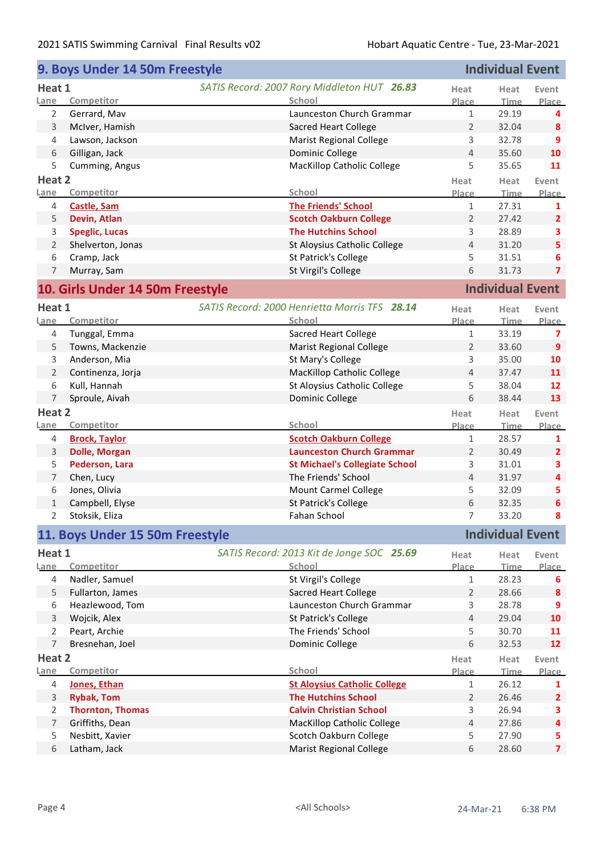|                | 9. Boys Under 14 50m Freestyle   |                                               |                | <b>Individual Event</b> |                         |
|----------------|----------------------------------|-----------------------------------------------|----------------|-------------------------|-------------------------|
| Heat 1         |                                  | SATIS Record: 2007 Rory Middleton HUT 26.83   | Heat           | Heat                    | Event                   |
| Lane           | Competitor                       | School                                        | Place          | <b>Time</b>             | Place                   |
| 2              | Gerrard, Mav                     | Launceston Church Grammar                     | $\mathbf{1}$   | 29.19                   | 4                       |
| $\mathsf{3}$   | McIver, Hamish                   | <b>Sacred Heart College</b>                   | $\overline{2}$ | 32.04                   | 8                       |
| 4              | Lawson, Jackson                  | <b>Marist Regional College</b>                | 3              | 32.78                   | 9                       |
| 6              | Gilligan, Jack                   | Dominic College                               | $\overline{4}$ | 35.60                   | 10                      |
| 5              | Cumming, Angus                   | <b>MacKillop Catholic College</b>             | 5              | 35.65                   | 11                      |
| Heat 2         |                                  |                                               | Heat           | Heat                    | Event                   |
| Lane           | Competitor                       | School                                        | Place          | <b>Time</b>             | Place                   |
| 4              | <b>Castle, Sam</b>               | <b>The Friends' School</b>                    | $\mathbf{1}$   | 27.31                   | 1                       |
| 5              | Devin, Atlan                     | <b>Scotch Oakburn College</b>                 | $\overline{2}$ | 27.42                   | $\overline{2}$          |
| 3              | <b>Speglic, Lucas</b>            | <b>The Hutchins School</b>                    | 3              | 28.89                   | 3                       |
| $\overline{2}$ | Shelverton, Jonas                | St Aloysius Catholic College                  | $\overline{4}$ | 31.20                   | 5                       |
| 6              | Cramp, Jack                      | St Patrick's College                          | 5              | 31.51                   | 6                       |
| $\overline{7}$ | Murray, Sam                      | St Virgil's College                           | 6              | 31.73                   | $\overline{\mathbf{z}}$ |
|                |                                  |                                               |                |                         |                         |
|                | 10. Girls Under 14 50m Freestyle |                                               |                | <b>Individual Event</b> |                         |
| Heat 1         |                                  | SATIS Record: 2000 Henrietta Morris TFS 28.14 | Heat           | Heat                    | Event                   |
| Lane           | Competitor                       | School                                        | Place          | <b>Time</b>             | Place                   |
| 4              | Tunggal, Emma                    | <b>Sacred Heart College</b>                   | $\mathbf{1}$   | 33.19                   | 7                       |
| 5              | Towns, Mackenzie                 | <b>Marist Regional College</b>                | $\overline{2}$ | 33.60                   | 9                       |
| 3              | Anderson, Mia                    | St Mary's College                             | 3              | 35.00                   | 10                      |
| $\overline{2}$ | Continenza, Jorja                | MacKillop Catholic College                    | $\overline{4}$ | 37.47                   | 11                      |
| 6              | Kull, Hannah                     | St Aloysius Catholic College                  | 5              | 38.04                   | 12                      |
| $\overline{7}$ | Sproule, Aivah                   | Dominic College                               | 6              | 38.44                   | 13                      |
| Heat 2         |                                  |                                               | Heat           | Heat                    | Event                   |
| Lane           | Competitor                       | School                                        | Place          | <b>Time</b>             | Place                   |
|                |                                  |                                               |                |                         |                         |
|                |                                  |                                               |                |                         |                         |
| 4              | <b>Brock, Taylor</b>             | <b>Scotch Oakburn College</b>                 | $\mathbf{1}$   | 28.57                   | 1                       |
| $\mathsf 3$    | <b>Dolle, Morgan</b>             | <b>Launceston Church Grammar</b>              | $\overline{2}$ | 30.49                   | $\overline{2}$          |
| 5              | Pederson, Lara                   | <b>St Michael's Collegiate School</b>         | 3              | 31.01                   | 3                       |
| 7              | Chen, Lucy                       | The Friends' School                           | $\overline{4}$ | 31.97                   | 4                       |
| 6              | Jones, Olivia                    | <b>Mount Carmel College</b>                   | 5              | 32.09                   | 5                       |
| $\mathbf{1}$   | Campbell, Elyse                  | St Patrick's College                          | 6              | 32.35                   | $\boldsymbol{6}$        |
| 2              | Stoksik, Eliza                   | Fahan School                                  | 7              | 33.20                   | 8                       |
|                | 11. Boys Under 15 50m Freestyle  |                                               |                | <b>Individual Event</b> |                         |
| Heat 1         |                                  | SATIS Record: 2013 Kit de Jonge SOC 25.69     | Heat           | Heat                    | Event                   |
| Lane           | Competitor                       | School                                        | <b>Place</b>   | <b>Time</b>             | <b>Place</b>            |
| 4              | Nadler, Samuel                   | St Virgil's College                           | 1              | 28.23                   | 6                       |
| 5              | Fullarton, James                 | <b>Sacred Heart College</b>                   | $\overline{2}$ | 28.66                   | 8                       |
| 6              | Heazlewood, Tom                  | Launceston Church Grammar                     | 3              | 28.78                   | 9                       |
| 3              | Wojcik, Alex                     | St Patrick's College                          | $\overline{4}$ | 29.04                   | 10                      |
| $\overline{2}$ | Peart, Archie                    | The Friends' School                           | 5              | 30.70                   | 11                      |
| 7              | Bresnehan, Joel                  | Dominic College                               | 6              | 32.53                   | 12                      |
| Heat 2         |                                  |                                               | Heat           | Heat                    | Event                   |
| Lane           | Competitor                       | School                                        | Place          | <b>Time</b>             | Place                   |
| 4              | Jones, Ethan                     | <b>St Aloysius Catholic College</b>           | $\mathbf{1}$   | 26.12                   | 1                       |
| 3              | <b>Rybak, Tom</b>                | <b>The Hutchins School</b>                    | 2              | 26.46                   | $\overline{2}$          |
| $\overline{2}$ | <b>Thornton, Thomas</b>          | <b>Calvin Christian School</b>                | 3              | 26.94                   | 3                       |
| $\overline{7}$ | Griffiths, Dean                  | <b>MacKillop Catholic College</b>             | $\overline{4}$ | 27.86                   | 4                       |
| 5              | Nesbitt, Xavier                  | Scotch Oakburn College                        | 5              | 27.90                   | 5                       |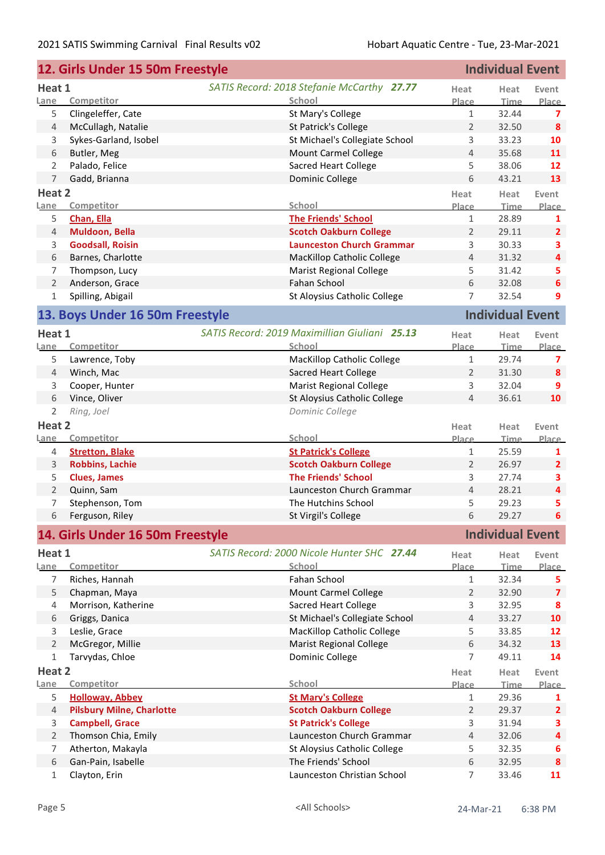|                | 12. Girls Under 15 50m Freestyle    |                                                    |                     | <b>Individual Event</b> |                         |
|----------------|-------------------------------------|----------------------------------------------------|---------------------|-------------------------|-------------------------|
| Heat 1         |                                     | SATIS Record: 2018 Stefanie McCarthy 27.77         | Heat                | Heat                    | Event                   |
| Lane           | Competitor                          | School                                             | Place               | <b>Time</b>             | Place                   |
| 5              | Clingeleffer, Cate                  | St Mary's College                                  | $\mathbf{1}$        | 32.44                   | $\overline{7}$          |
| $\overline{4}$ | McCullagh, Natalie                  | St Patrick's College                               | $\overline{2}$      | 32.50                   | 8                       |
| 3              | Sykes-Garland, Isobel               | St Michael's Collegiate School                     | 3                   | 33.23                   | 10                      |
| 6              | Butler, Meg                         | <b>Mount Carmel College</b>                        | $\overline{4}$      | 35.68                   | 11                      |
| $\overline{2}$ | Palado, Felice                      | Sacred Heart College                               | 5                   | 38.06                   | 12                      |
| $\overline{7}$ | Gadd, Brianna                       | Dominic College                                    | 6                   | 43.21                   | 13                      |
| Heat 2         |                                     |                                                    | Heat                | Heat                    | Event                   |
| Lane           | Competitor                          | School                                             | Place               | <b>Time</b>             | Place                   |
| 5              | Chan, Ella                          | <b>The Friends' School</b>                         | $\mathbf{1}$        | 28.89                   | 1                       |
| $\overline{4}$ | Muldoon, Bella                      | <b>Scotch Oakburn College</b>                      | 2                   | 29.11                   | $\overline{2}$          |
| 3              | <b>Goodsall, Roisin</b>             | <b>Launceston Church Grammar</b>                   | 3                   | 30.33                   | 3                       |
| 6              | Barnes, Charlotte                   | <b>MacKillop Catholic College</b>                  | $\overline{4}$      | 31.32                   | $\overline{\mathbf{4}}$ |
| 7              | Thompson, Lucy                      | <b>Marist Regional College</b>                     | 5                   | 31.42                   | 5                       |
| $\overline{2}$ | Anderson, Grace                     | Fahan School                                       | 6                   | 32.08                   | 6                       |
| 1              | Spilling, Abigail                   | St Aloysius Catholic College                       | $\overline{7}$      | 32.54                   | 9                       |
|                | 13. Boys Under 16 50m Freestyle     |                                                    |                     | <b>Individual Event</b> |                         |
| Heat 1         |                                     | SATIS Record: 2019 Maximillian Giuliani 25.13      | Heat                | Heat                    | Event                   |
| Lane           | Competitor                          | School                                             | Place               | <b>Time</b>             | Place                   |
| 5              | Lawrence, Toby                      | <b>MacKillop Catholic College</b>                  | $\mathbf{1}$        | 29.74                   | 7                       |
| 4              | Winch, Mac                          | <b>Sacred Heart College</b>                        | 2                   | 31.30                   | 8                       |
| 3              | Cooper, Hunter                      | <b>Marist Regional College</b>                     | 3                   | 32.04                   | 9                       |
| 6              | Vince, Oliver                       | St Aloysius Catholic College                       | $\overline{4}$      | 36.61                   | 10                      |
| $\overline{2}$ | Ring, Joel                          | Dominic College                                    |                     |                         |                         |
| Heat 2         |                                     |                                                    | Heat                |                         |                         |
| <u>Lane</u>    | Competitor                          | School                                             | Place               | Heat<br><b>Time</b>     | Event<br>Place          |
| 4              | <b>Stretton, Blake</b>              | <b>St Patrick's College</b>                        | $\mathbf{1}$        | 25.59                   | 1                       |
| 3              | <b>Robbins, Lachie</b>              |                                                    |                     |                         |                         |
| 5              |                                     |                                                    |                     |                         |                         |
| $\overline{2}$ |                                     | <b>Scotch Oakburn College</b>                      | $\overline{2}$      | 26.97                   | $\overline{2}$          |
|                | <b>Clues, James</b>                 | <b>The Friends' School</b>                         | 3<br>$\overline{4}$ | 27.74                   | 3                       |
|                | Quinn, Sam                          | Launceston Church Grammar                          |                     | 28.21                   | $\overline{\mathbf{4}}$ |
| 7              | Stephenson, Tom                     | The Hutchins School                                | 5<br>6              | 29.23<br>29.27          | 5<br>6                  |
|                | 6 Ferguson, Riley                   | St Virgil's College                                |                     |                         |                         |
|                | 14. Girls Under 16 50m Freestyle    |                                                    |                     | <b>Individual Event</b> |                         |
| Heat 1         |                                     | SATIS Record: 2000 Nicole Hunter SHC 27.44         | Heat                | Heat                    | Event                   |
| Lane           | Competitor                          | School                                             | <b>Place</b>        | <b>Time</b>             |                         |
| 7              | Riches, Hannah                      | Fahan School                                       | $\mathbf{1}$        | 32.34                   | 5                       |
| 5              | Chapman, Maya                       | <b>Mount Carmel College</b>                        | 2                   | 32.90                   | $\overline{\mathbf{z}}$ |
| 4              | Morrison, Katherine                 | <b>Sacred Heart College</b>                        | 3                   | 32.95                   | 8                       |
| 6              | Griggs, Danica                      | St Michael's Collegiate School                     | $\overline{4}$      | 33.27                   | 10                      |
| 3              | Leslie, Grace                       | <b>MacKillop Catholic College</b>                  | 5                   | 33.85                   | 12                      |
| $\overline{2}$ | McGregor, Millie                    | <b>Marist Regional College</b>                     | 6                   | 34.32                   | 13                      |
| $\mathbf{1}$   | Tarvydas, Chloe                     | Dominic College                                    | $\overline{7}$      | 49.11                   | 14                      |
| Heat 2         |                                     |                                                    | Heat                | Heat                    | Event                   |
| Lane           | Competitor                          | School                                             | Place               | <b>Time</b>             | Place                   |
| 5              | <b>Holloway, Abbey</b>              | <b>St Mary's College</b>                           | $\mathbf{1}$        | 29.36                   | 1                       |
| $\overline{4}$ | <b>Pilsbury Milne, Charlotte</b>    | <b>Scotch Oakburn College</b>                      | $\overline{2}$      | 29.37                   | $\overline{2}$          |
| 3              | <b>Campbell, Grace</b>              | <b>St Patrick's College</b>                        | 3                   | 31.94                   | Place<br>3              |
| $\overline{2}$ | Thomson Chia, Emily                 | Launceston Church Grammar                          | $\overline{4}$      | 32.06                   | $\overline{\mathbf{4}}$ |
| 7              | Atherton, Makayla                   | St Aloysius Catholic College                       | 5                   | 32.35                   | 6                       |
| 6<br>1         | Gan-Pain, Isabelle<br>Clayton, Erin | The Friends' School<br>Launceston Christian School | $\,$ 6 $\,$<br>7    | 32.95<br>33.46          | 8<br>11                 |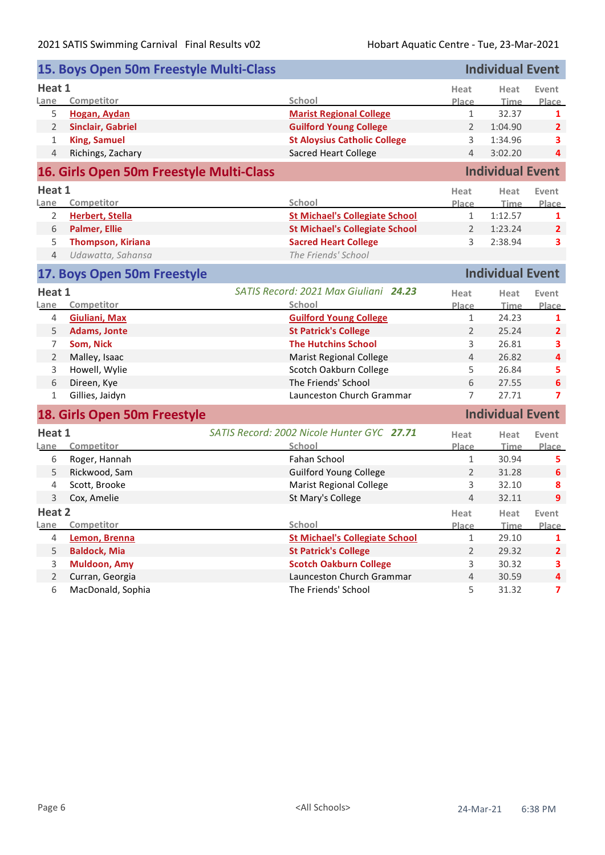|                | 15. Boys Open 50m Freestyle Multi-Class  |                                            |                | <b>Individual Event</b> |                         |
|----------------|------------------------------------------|--------------------------------------------|----------------|-------------------------|-------------------------|
| Heat 1         |                                          |                                            | Heat           | Heat                    | Event                   |
| Lane           | Competitor                               | School                                     | Place          | Time                    | Place                   |
| 5              | <b>Hogan, Aydan</b>                      | <b>Marist Regional College</b>             | $\mathbf{1}$   | 32.37                   | 1                       |
| $\overline{2}$ | <b>Sinclair, Gabriel</b>                 | <b>Guilford Young College</b>              | $\overline{2}$ | 1:04.90                 | $\overline{2}$          |
| $\mathbf{1}$   | <b>King, Samuel</b>                      | <b>St Aloysius Catholic College</b>        | 3              | 1:34.96                 | 3                       |
| 4              | Richings, Zachary                        | <b>Sacred Heart College</b>                | 4              | 3:02.20                 | 4                       |
|                | 16. Girls Open 50m Freestyle Multi-Class |                                            |                | <b>Individual Event</b> |                         |
| Heat 1         |                                          |                                            | Heat           | Heat                    | Event                   |
| Lane           | Competitor                               | School                                     | Place          | <b>Time</b>             | Place                   |
| 2              | <b>Herbert, Stella</b>                   | <b>St Michael's Collegiate School</b>      | $\mathbf{1}$   | 1:12.57                 | 1                       |
| 6              | <b>Palmer, Ellie</b>                     | <b>St Michael's Collegiate School</b>      | $\overline{2}$ | 1:23.24                 | $\overline{2}$          |
| 5              | <b>Thompson, Kiriana</b>                 | <b>Sacred Heart College</b>                | 3              | 2:38.94                 | 3                       |
| $\overline{4}$ | Udawatta, Sahansa                        | The Friends' School                        |                |                         |                         |
|                | 17. Boys Open 50m Freestyle              |                                            |                | <b>Individual Event</b> |                         |
| Heat 1         |                                          | SATIS Record: 2021 Max Giuliani 24.23      | Heat           | Heat                    | Event                   |
| Lane           | Competitor                               | School                                     | Place          | <u>Time</u>             | Place                   |
| 4              | <b>Giuliani, Max</b>                     | <b>Guilford Young College</b>              | $\mathbf{1}$   | 24.23                   | 1                       |
| 5              | <b>Adams, Jonte</b>                      | <b>St Patrick's College</b>                | $\overline{2}$ | 25.24                   | $\overline{2}$          |
| 7              | Som, Nick                                | <b>The Hutchins School</b>                 | 3              | 26.81                   | 3                       |
| $\overline{2}$ | Malley, Isaac                            | <b>Marist Regional College</b>             | $\overline{4}$ | 26.82                   | 4                       |
| 3              | Howell, Wylie                            | Scotch Oakburn College                     | 5              | 26.84                   | 5                       |
| 6              | Direen, Kye                              | The Friends' School                        | 6              | 27.55                   | 6                       |
| 1              | Gillies, Jaidyn                          | Launceston Church Grammar                  | 7              | 27.71                   | 7                       |
|                | 18. Girls Open 50m Freestyle             |                                            |                | <b>Individual Event</b> |                         |
| Heat 1         |                                          | SATIS Record: 2002 Nicole Hunter GYC 27.71 | Heat           | Heat                    | Event                   |
| Lane           | Competitor                               | School                                     | <b>Place</b>   | <b>Time</b>             | Place                   |
| 6              | Roger, Hannah                            | Fahan School                               | $\mathbf{1}$   | 30.94                   | 5                       |
| 5              | Rickwood, Sam                            | <b>Guilford Young College</b>              | $\overline{2}$ | 31.28                   | 6                       |
| $\overline{4}$ | Scott, Brooke                            | <b>Marist Regional College</b>             | 3              | 32.10                   | 8                       |
| 3              | Cox, Amelie                              | St Mary's College                          | $\overline{4}$ | 32.11                   | 9                       |
| Heat 2         |                                          |                                            | Heat           | Heat                    | Event                   |
| Lane           | Competitor                               | School                                     | Place          | <b>Time</b>             | Place                   |
| 4              | Lemon, Brenna                            | <b>St Michael's Collegiate School</b>      | $\mathbf{1}$   | 29.10                   | 1                       |
| 5              | <b>Baldock, Mia</b>                      | <b>St Patrick's College</b>                | $\overline{2}$ | 29.32                   | $\overline{2}$          |
| 3              | <b>Muldoon, Amy</b>                      | <b>Scotch Oakburn College</b>              | 3              | 30.32                   | 3                       |
| $\overline{2}$ | Curran, Georgia                          | Launceston Church Grammar                  | $\overline{4}$ | 30.59                   | 4                       |
| 6              | MacDonald, Sophia                        | The Friends' School                        | 5              | 31.32                   | $\overline{\mathbf{z}}$ |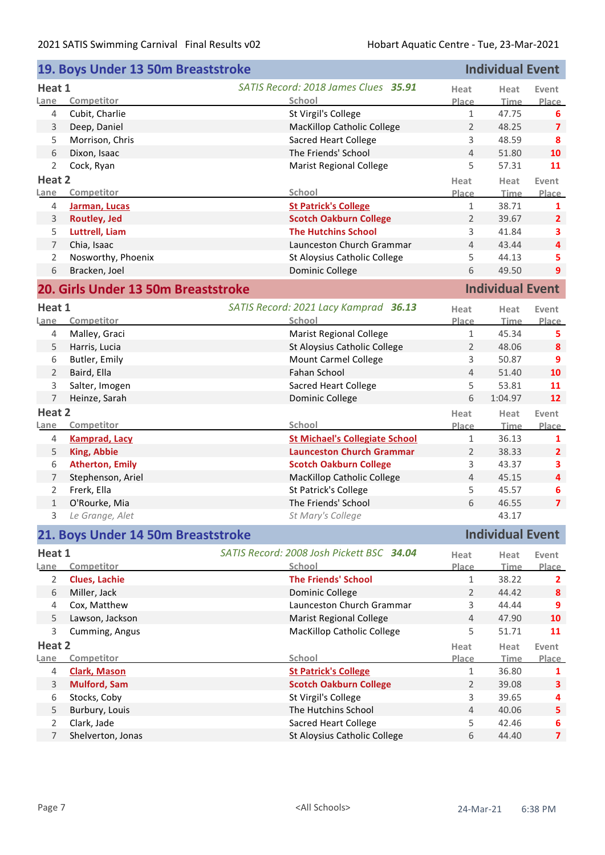| <b>Individual Event</b><br>19. Boys Under 13 50m Breaststroke |                                     |                                                     |                |                         |                         |
|---------------------------------------------------------------|-------------------------------------|-----------------------------------------------------|----------------|-------------------------|-------------------------|
| Heat 1                                                        |                                     | SATIS Record: 2018 James Clues 35.91                | Heat           | Heat                    | Event                   |
| Lane                                                          | Competitor                          | School                                              | Place          | Time                    | Place                   |
| 4                                                             | Cubit, Charlie                      | St Virgil's College                                 | $\mathbf{1}$   | 47.75                   | 6                       |
| 3                                                             | Deep, Daniel                        | <b>MacKillop Catholic College</b>                   | 2              | 48.25                   | $\overline{7}$          |
| 5                                                             | Morrison, Chris                     | <b>Sacred Heart College</b>                         | 3              | 48.59                   | 8                       |
| 6                                                             | Dixon, Isaac                        | The Friends' School                                 | 4              | 51.80                   | 10                      |
| $\overline{2}$                                                | Cock, Ryan                          | <b>Marist Regional College</b>                      | 5              | 57.31                   | 11                      |
| Heat 2                                                        |                                     |                                                     | Heat           | Heat                    | Event                   |
| Lane                                                          | Competitor                          | School                                              | Place          | <b>Time</b>             | Place                   |
| 4                                                             | Jarman, Lucas                       | <b>St Patrick's College</b>                         | $\mathbf{1}$   | 38.71                   | 1                       |
| 3                                                             | <b>Routley, Jed</b>                 | <b>Scotch Oakburn College</b>                       | $\overline{2}$ | 39.67                   | $\overline{2}$          |
| 5                                                             | Luttrell, Liam                      | <b>The Hutchins School</b>                          | 3              | 41.84                   | 3                       |
| $\overline{7}$                                                | Chia, Isaac                         | Launceston Church Grammar                           | 4              | 43.44                   | 4                       |
| $\overline{2}$                                                | Nosworthy, Phoenix                  | St Aloysius Catholic College                        | 5              | 44.13                   | 5                       |
| 6                                                             | Bracken, Joel                       | Dominic College                                     | 6              | 49.50                   | 9                       |
|                                                               | 20. Girls Under 13 50m Breaststroke |                                                     |                | <b>Individual Event</b> |                         |
| Heat 1                                                        |                                     | SATIS Record: 2021 Lacy Kamprad 36.13               |                |                         |                         |
| Lane                                                          | Competitor                          | School                                              | Heat<br>Place  | Heat<br><b>Time</b>     | Event<br>Place          |
| 4                                                             | Malley, Graci                       | <b>Marist Regional College</b>                      | $\mathbf{1}$   | 45.34                   | 5                       |
| 5                                                             | Harris, Lucia                       | St Aloysius Catholic College                        | $\overline{2}$ | 48.06                   | 8                       |
| 6                                                             | Butler, Emily                       | Mount Carmel College                                | 3              | 50.87                   | 9                       |
| $\overline{2}$                                                | Baird, Ella                         | Fahan School                                        | 4              | 51.40                   | 10                      |
| 3                                                             | Salter, Imogen                      | <b>Sacred Heart College</b>                         | 5              | 53.81                   | 11                      |
| $\overline{7}$                                                | Heinze, Sarah                       | Dominic College                                     | 6              | 1:04.97                 | 12                      |
| Heat 2                                                        |                                     |                                                     |                |                         |                         |
| Lane                                                          | Competitor                          | School                                              | Heat<br>Place  | Heat<br><b>Time</b>     | Event<br>Place          |
| 4                                                             | <b>Kamprad, Lacy</b>                | <b>St Michael's Collegiate School</b>               | 1              | 36.13                   | 1                       |
| 5                                                             | <b>King, Abbie</b>                  | <b>Launceston Church Grammar</b>                    | $\overline{2}$ | 38.33                   | $\overline{2}$          |
| 6                                                             | <b>Atherton, Emily</b>              | <b>Scotch Oakburn College</b>                       | 3              | 43.37                   | 3                       |
| 7                                                             | Stephenson, Ariel                   | <b>MacKillop Catholic College</b>                   | 4              | 45.15                   | 4                       |
| $\overline{2}$                                                | Frerk, Ella                         | St Patrick's College                                | 5              | 45.57                   | 6                       |
| $\mathbf{1}$                                                  | O'Rourke, Mia                       | The Friends' School                                 | 6              | 46.55                   | $\overline{\mathbf{z}}$ |
| 3                                                             | Le Grange, Alet                     | St Mary's College                                   |                | 43.17                   |                         |
|                                                               | 21. Boys Under 14 50m Breaststroke  |                                                     |                | <b>Individual Event</b> |                         |
|                                                               |                                     |                                                     |                |                         |                         |
| Heat 1<br>Lane                                                | Competitor                          | SATIS Record: 2008 Josh Pickett BSC 34.04<br>School | Heat<br>Place  | Heat<br><b>Time</b>     | Event<br>Place          |
| $\overline{2}$                                                | <b>Clues, Lachie</b>                | <b>The Friends' School</b>                          | 1              | 38.22                   | 2                       |
| 6                                                             | Miller, Jack                        | Dominic College                                     | $\overline{2}$ | 44.42                   | 8                       |
| 4                                                             | Cox, Matthew                        | Launceston Church Grammar                           | 3              | 44.44                   | 9                       |
| 5                                                             | Lawson, Jackson                     | <b>Marist Regional College</b>                      | $\overline{4}$ | 47.90                   | 10                      |
| 3                                                             | Cumming, Angus                      | <b>MacKillop Catholic College</b>                   | 5              | 51.71                   | 11                      |
| Heat 2                                                        |                                     |                                                     | Heat           | Heat                    | Event                   |
| Lane                                                          | Competitor                          | School                                              | Place          | Time                    | Place                   |
| 4                                                             | <b>Clark, Mason</b>                 | <b>St Patrick's College</b>                         | $\mathbf{1}$   | 36.80                   | 1                       |
| 3                                                             | <b>Mulford, Sam</b>                 | <b>Scotch Oakburn College</b>                       | $\overline{2}$ | 39.08                   | 3                       |
| 6                                                             | Stocks, Coby                        | St Virgil's College                                 | 3              | 39.65                   | 4                       |
| 5                                                             | Burbury, Louis                      | The Hutchins School                                 | 4              | 40.06                   | 5                       |
| $\overline{2}$                                                | Clark, Jade                         | <b>Sacred Heart College</b>                         | 5              | 42.46                   | 6                       |
| 7                                                             | Shelverton, Jonas                   | St Aloysius Catholic College                        | 6              | 44.40                   | $\overline{\mathbf{z}}$ |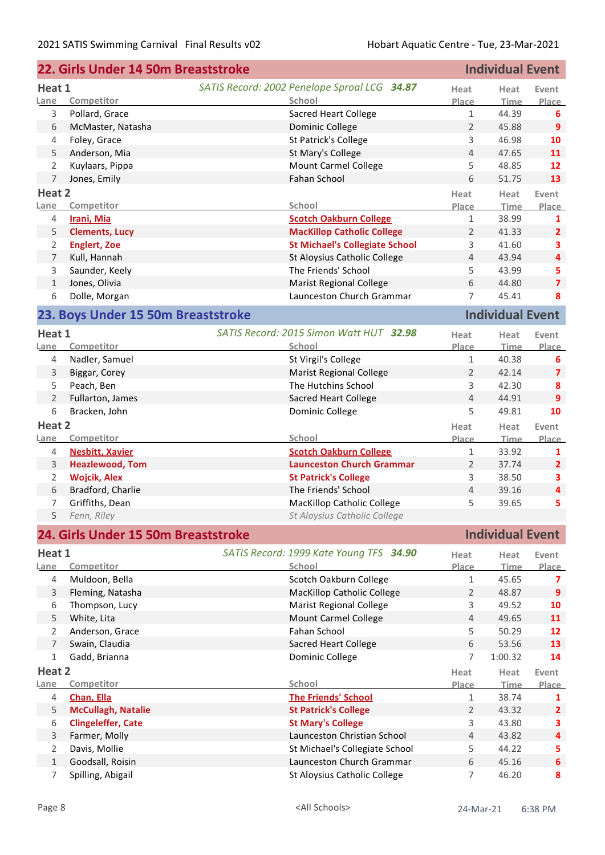| <b>Individual Event</b><br>22. Girls Under 14 50m Breaststroke |                                     |                                              |                |                         |                         |
|----------------------------------------------------------------|-------------------------------------|----------------------------------------------|----------------|-------------------------|-------------------------|
| Heat 1                                                         |                                     | SATIS Record: 2002 Penelope Sproal LCG 34.87 | Heat           | Heat                    | Event                   |
| Lane                                                           | Competitor                          | School                                       | Place          | <b>Time</b>             | Place                   |
| 3                                                              | Pollard, Grace                      | <b>Sacred Heart College</b>                  | $\mathbf{1}$   | 44.39                   | 6                       |
| 6                                                              | McMaster, Natasha                   | Dominic College                              | $\overline{2}$ | 45.88                   | $\overline{9}$          |
| 4                                                              | Foley, Grace                        | St Patrick's College                         | 3              | 46.98                   | 10                      |
| 5                                                              | Anderson, Mia                       | St Mary's College                            | 4              | 47.65                   | 11                      |
| 2                                                              | Kuylaars, Pippa                     | Mount Carmel College                         | 5              | 48.85                   | 12                      |
| 7                                                              | Jones, Emily                        | Fahan School                                 | 6              | 51.75                   | 13                      |
| Heat 2                                                         |                                     |                                              | Heat           | Heat                    | Event                   |
| Lane                                                           | Competitor                          | School                                       | Place          | <b>Time</b>             | Place                   |
| 4                                                              | Irani, Mia                          | <b>Scotch Oakburn College</b>                | $\mathbf{1}$   | 38.99                   | 1                       |
| 5                                                              | <b>Clements, Lucy</b>               | <b>MacKillop Catholic College</b>            | $\overline{2}$ | 41.33                   | $\overline{2}$          |
| 2                                                              | <b>Englert, Zoe</b>                 | <b>St Michael's Collegiate School</b>        | 3              | 41.60                   | 3                       |
| 7                                                              | Kull, Hannah                        | St Aloysius Catholic College                 | $\overline{4}$ | 43.94                   | 4                       |
| 3                                                              | Saunder, Keely                      | The Friends' School                          | 5              | 43.99                   | 5                       |
| 1                                                              | Jones, Olivia                       | <b>Marist Regional College</b>               | 6              | 44.80                   | $\overline{7}$          |
| 6                                                              | Dolle, Morgan                       | Launceston Church Grammar                    | 7              | 45.41                   | 8                       |
|                                                                | 23. Boys Under 15 50m Breaststroke  |                                              |                | <b>Individual Event</b> |                         |
| Heat 1                                                         |                                     | SATIS Record: 2015 Simon Watt HUT 32.98      | Heat           | Heat                    | Event                   |
| Lane                                                           | Competitor                          | School                                       | Place          | <b>Time</b>             | Place                   |
| 4                                                              | Nadler, Samuel                      | St Virgil's College                          | $1\,$          | 40.38                   | 6                       |
| 3                                                              | Biggar, Corey                       | <b>Marist Regional College</b>               | $\overline{2}$ | 42.14                   | $\overline{\mathbf{z}}$ |
| 5                                                              | Peach, Ben                          | The Hutchins School                          | 3              | 42.30                   | 8                       |
| $\overline{2}$                                                 | Fullarton, James                    | <b>Sacred Heart College</b>                  | $\overline{4}$ | 44.91                   | 9                       |
| 6                                                              | Bracken, John                       | Dominic College                              | 5              | 49.81                   | 10                      |
| Heat 2                                                         |                                     |                                              | Heat           | Heat                    | Event                   |
| Lane                                                           | Competitor                          | School                                       | Place          | <b>Time</b>             | <b>Place</b>            |
| 4                                                              | <b>Nesbitt, Xavier</b>              | <b>Scotch Oakburn College</b>                | 1              | 33.92                   | 1                       |
| 3                                                              | <b>Heazlewood, Tom</b>              | <b>Launceston Church Grammar</b>             | $\overline{2}$ | 37.74                   | $\mathbf{2}$            |
| 2                                                              | <b>Wojcik, Alex</b>                 | <b>St Patrick's College</b>                  | 3              | 38.50                   | 3                       |
| 6                                                              | Bradford, Charlie                   | The Friends' School                          | 4              | 39.16                   | 4                       |
| 7                                                              | Griffiths, Dean                     | MacKillop Catholic College                   | 5              | 39.65                   | 5                       |
| 5                                                              | Fenn, Riley                         | St Aloysius Catholic College                 |                |                         |                         |
|                                                                | 24. Girls Under 15 50m Breaststroke |                                              |                | <b>Individual Event</b> |                         |
| Heat 1                                                         |                                     | SATIS Record: 1999 Kate Young TFS 34.90      | Heat           |                         |                         |
| Lane                                                           | Competitor                          | School                                       | <b>Place</b>   | Heat<br>Time.           | Event<br>Place          |
| 4                                                              | Muldoon, Bella                      | Scotch Oakburn College                       | $\mathbf{1}$   | 45.65                   | 7                       |
| 3                                                              | Fleming, Natasha                    | MacKillop Catholic College                   | $\overline{2}$ | 48.87                   | 9                       |
| 6                                                              | Thompson, Lucy                      | <b>Marist Regional College</b>               | 3              | 49.52                   | 10                      |
| 5                                                              | White, Lita                         | <b>Mount Carmel College</b>                  | 4              | 49.65                   | 11                      |
| 2                                                              | Anderson, Grace                     | Fahan School                                 | 5              | 50.29                   | 12                      |
| $\overline{7}$                                                 | Swain, Claudia                      | <b>Sacred Heart College</b>                  | 6              | 53.56                   | 13                      |
| 1                                                              | Gadd, Brianna                       | Dominic College                              | 7              | 1:00.32                 | 14                      |
| Heat 2                                                         |                                     |                                              | Heat           | Heat                    | Event                   |
| Lane                                                           | Competitor                          | School                                       | Place          | Time                    | Place                   |
| 4                                                              | Chan, Ella                          | <b>The Friends' School</b>                   | $\mathbf{1}$   | 38.74                   | 1                       |
| 5                                                              | <b>McCullagh, Natalie</b>           | <b>St Patrick's College</b>                  | $\overline{2}$ | 43.32                   | $\overline{2}$          |
| 6                                                              | <b>Clingeleffer, Cate</b>           | <b>St Mary's College</b>                     | 3              | 43.80                   | 3                       |
| 3                                                              | Farmer, Molly                       | Launceston Christian School                  | 4              | 43.82                   | 4                       |
| 2                                                              | Davis, Mollie                       | St Michael's Collegiate School               | 5              | 44.22                   | 5                       |
| $\mathbf{1}$                                                   | Goodsall, Roisin                    | Launceston Church Grammar                    | 6              | 45.16                   | $\boldsymbol{6}$        |
| 7                                                              | Spilling, Abigail                   | St Aloysius Catholic College                 | 7              | 46.20                   | 8                       |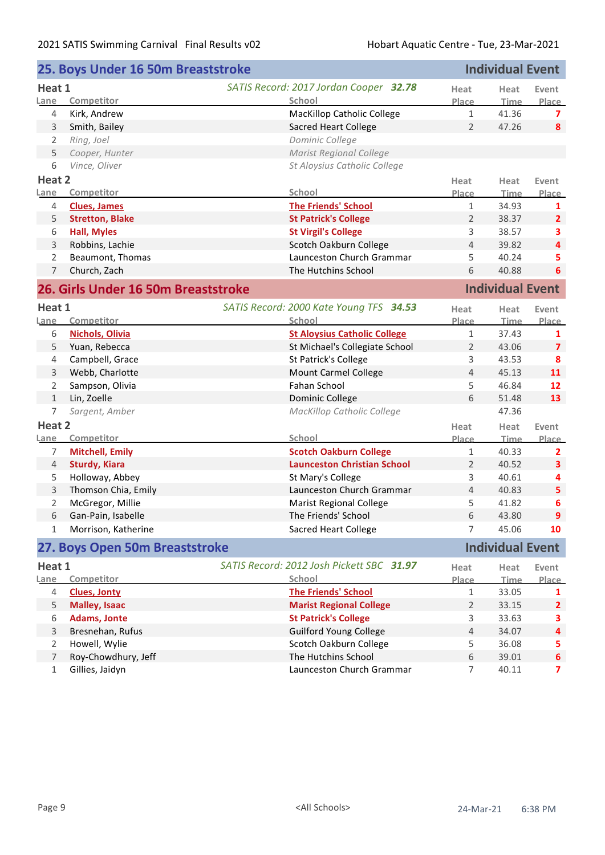|                | 25. Boys Under 16 50m Breaststroke  |                                           |                | <b>Individual Event</b> |                         |
|----------------|-------------------------------------|-------------------------------------------|----------------|-------------------------|-------------------------|
| Heat 1         |                                     | SATIS Record: 2017 Jordan Cooper 32.78    |                |                         | Event                   |
| Lane           | Competitor                          | School                                    | Place          | Time                    | Place                   |
| 4              | Kirk, Andrew                        | MacKillop Catholic College                | $\mathbf{1}$   | 41.36                   | 7                       |
| 3              | Smith, Bailey                       | <b>Sacred Heart College</b>               | $\overline{2}$ | 47.26                   | 8                       |
| 2              | Ring, Joel                          | Dominic College                           |                |                         |                         |
| 5              | Cooper, Hunter                      | <b>Marist Regional College</b>            |                |                         |                         |
| 6              | Vince, Oliver                       | St Aloysius Catholic College              |                |                         |                         |
| Heat 2         |                                     |                                           | Heat           | Heat                    | Event                   |
| Lane           | Competitor                          | School                                    | Place          | <b>Time</b>             | Place                   |
| 4              | <b>Clues, James</b>                 | <b>The Friends' School</b>                | $\mathbf{1}$   | 34.93                   | 1                       |
| 5              | <b>Stretton, Blake</b>              | <b>St Patrick's College</b>               | $\overline{2}$ | 38.37                   | $\overline{2}$          |
| 6              | <b>Hall, Myles</b>                  | <b>St Virgil's College</b>                | 3              | 38.57                   | 3                       |
| 3              | Robbins, Lachie                     | Scotch Oakburn College                    | 4              | 39.82                   | 4                       |
| $\overline{2}$ | Beaumont, Thomas                    | Launceston Church Grammar                 | 5              | 40.24                   | 5                       |
| $\overline{7}$ | Church, Zach                        | The Hutchins School                       | 6              | 40.88                   | 6                       |
|                | 26. Girls Under 16 50m Breaststroke |                                           |                | <b>Individual Event</b> |                         |
| Heat 1         |                                     | SATIS Record: 2000 Kate Young TFS 34.53   | Heat           | Heat                    | Event                   |
| Lane           | Competitor                          | School                                    | Place          | <b>Time</b>             | Place                   |
| 6              | <b>Nichols, Olivia</b>              | <b>St Aloysius Catholic College</b>       | $\mathbf{1}$   | 37.43                   | 1                       |
| 5              | Yuan, Rebecca                       | St Michael's Collegiate School            | $\overline{2}$ | 43.06                   | $\overline{\mathbf{z}}$ |
| 4              | Campbell, Grace                     | St Patrick's College                      | 3              | 43.53                   | 8                       |
| 3              | Webb, Charlotte                     | Mount Carmel College                      | 4              | 45.13                   | 11                      |
| 2              | Sampson, Olivia                     | Fahan School                              | 5              | 46.84                   | 12                      |
| $\mathbf{1}$   | Lin, Zoelle                         | Dominic College                           | 6              | 51.48                   | 13                      |
| $\overline{7}$ | Sargent, Amber                      | MacKillop Catholic College                |                | 47.36                   |                         |
| Heat 2         |                                     |                                           | Heat           | Heat                    | Event                   |
| Lane           | Competitor                          | School                                    | <b>Place</b>   | Time                    | Place                   |
| 7              | <b>Mitchell, Emily</b>              | <b>Scotch Oakburn College</b>             | 1              | 40.33                   | 2                       |
| $\overline{4}$ | <b>Sturdy, Kiara</b>                | <b>Launceston Christian School</b>        | 2              | 40.52                   | 3                       |
| 5              | Holloway, Abbey                     | St Mary's College                         | 3              | 40.61                   | 4                       |
| 3              | Thomson Chia, Emily                 | Launceston Church Grammar                 | 4              | 40.83                   | 5                       |
| 2              | McGregor, Millie                    | <b>Marist Regional College</b>            | 5              | 41.82                   | 6                       |
| 6              | Gan-Pain, Isabelle                  | The Friends' School                       | 6              | 43.80                   | $\overline{9}$          |
| 1              | Morrison, Katherine                 | <b>Sacred Heart College</b>               | 7              | 45.06                   | 10                      |
|                | 27. Boys Open 50m Breaststroke      |                                           |                | <b>Individual Event</b> |                         |
| Heat 1         |                                     | SATIS Record: 2012 Josh Pickett SBC 31.97 | Heat           | Heat                    | Event                   |
| Lane           | Competitor                          | School                                    | Place          | Time                    | <u>Place</u>            |
| 4              | <b>Clues, Jonty</b>                 | <b>The Friends' School</b>                | 1              | 33.05                   | 1                       |
| 5              | <b>Malley, Isaac</b>                | <b>Marist Regional College</b>            | 2              | 33.15                   | $\overline{2}$          |
| 6              | <b>Adams, Jonte</b>                 | <b>St Patrick's College</b>               | 3              | 33.63                   | 3                       |
| 3              | Bresnehan, Rufus                    | <b>Guilford Young College</b>             | $\overline{4}$ | 34.07                   | 4                       |
| 2              | Howell, Wylie                       | Scotch Oakburn College                    | 5              | 36.08                   | 5                       |
| $\overline{7}$ | Roy-Chowdhury, Jeff                 | The Hutchins School                       | 6              | 39.01                   | 6                       |
| $\mathbf{1}$   | Gillies, Jaidyn                     | Launceston Church Grammar                 | 7              | 40.11                   | 7                       |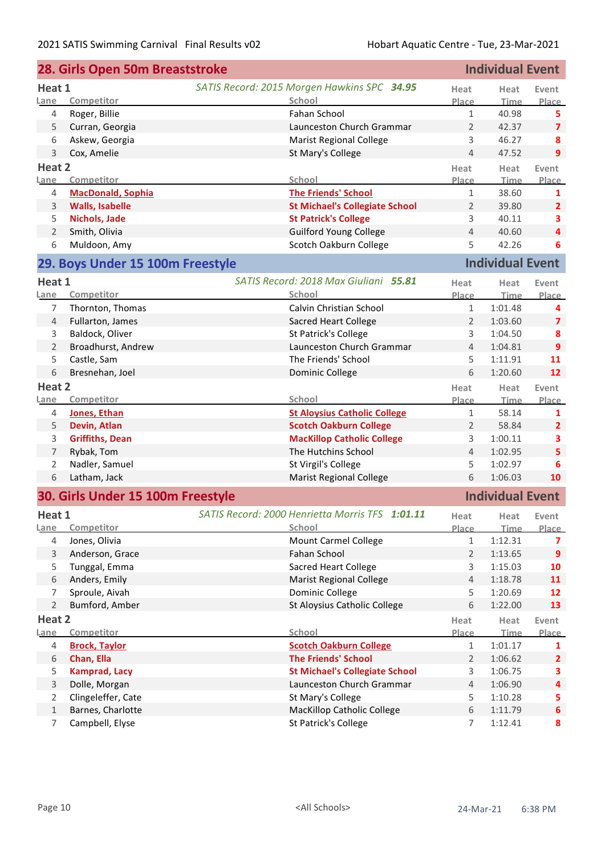|                | 28. Girls Open 50m Breaststroke   |                                                 |                | <b>Individual Event</b> |                         |
|----------------|-----------------------------------|-------------------------------------------------|----------------|-------------------------|-------------------------|
| Heat 1         |                                   | SATIS Record: 2015 Morgen Hawkins SPC 34.95     | Heat           | Heat                    | Event                   |
| Lane           | Competitor                        | School                                          | Place          | Time                    | Place                   |
| 4              | Roger, Billie                     | Fahan School                                    | $\mathbf{1}$   | 40.98                   | 5                       |
| 5              | Curran, Georgia                   | Launceston Church Grammar                       | $\overline{2}$ | 42.37                   | $\overline{7}$          |
| 6              | Askew, Georgia                    | <b>Marist Regional College</b>                  | 3              | 46.27                   | 8                       |
| 3              | Cox, Amelie                       | St Mary's College                               | $\overline{4}$ | 47.52                   | 9                       |
| Heat 2         |                                   |                                                 | Heat           | Heat                    | Event                   |
| Lane           | Competitor                        | School                                          | Place          | <b>Time</b>             | Place                   |
| 4              | <b>MacDonald, Sophia</b>          | <b>The Friends' School</b>                      | $\mathbf{1}$   | 38.60                   | 1                       |
| 3              | <b>Walls, Isabelle</b>            | <b>St Michael's Collegiate School</b>           | 2              | 39.80                   | $\overline{2}$          |
| 5              | Nichols, Jade                     | <b>St Patrick's College</b>                     | 3              | 40.11                   | 3                       |
| $\overline{2}$ | Smith, Olivia                     | <b>Guilford Young College</b>                   | $\overline{4}$ | 40.60                   | $\overline{4}$          |
| 6              | Muldoon, Amy                      | Scotch Oakburn College                          | 5              | 42.26                   | 6                       |
|                | 29. Boys Under 15 100m Freestyle  |                                                 |                | <b>Individual Event</b> |                         |
| Heat 1         |                                   | SATIS Record: 2018 Max Giuliani 55.81           | Heat           | Heat                    | Event                   |
| Lane           | Competitor                        | School                                          | Place          | Time                    | Place                   |
| 7              | Thornton, Thomas                  | Calvin Christian School                         | $\mathbf{1}$   | 1:01.48                 | 4                       |
| 4              | Fullarton, James                  | <b>Sacred Heart College</b>                     | $\overline{2}$ | 1:03.60                 | $\overline{7}$          |
| 3              | Baldock, Oliver                   | St Patrick's College                            | 3              | 1:04.50                 | 8                       |
| $\overline{2}$ | Broadhurst, Andrew                | Launceston Church Grammar                       | $\overline{4}$ | 1:04.81                 | 9                       |
| 5              | Castle, Sam                       | The Friends' School                             | 5              | 1:11.91                 | 11                      |
| 6              | Bresnehan, Joel                   | Dominic College                                 | 6              | 1:20.60                 | 12                      |
| Heat 2         |                                   |                                                 | Heat           | Heat                    | Event                   |
| Lane           | Competitor                        | School                                          | Place          | Time                    | Place                   |
| 4              | Jones, Ethan                      | <b>St Aloysius Catholic College</b>             | $\mathbf{1}$   | 58.14                   | 1                       |
| 5              | Devin, Atlan                      | <b>Scotch Oakburn College</b>                   | $\overline{2}$ | 58.84                   | $\overline{2}$          |
| 3              | <b>Griffiths, Dean</b>            | <b>MacKillop Catholic College</b>               | 3              | 1:00.11                 | 3                       |
| 7              | Rybak, Tom                        | The Hutchins School                             | $\overline{4}$ | 1:02.95                 | 5                       |
| 2              | Nadler, Samuel                    | St Virgil's College                             | 5              | 1:02.97                 | 6                       |
| 6              | Latham, Jack                      | <b>Marist Regional College</b>                  | 6              | 1:06.03                 | 10                      |
|                | 30. Girls Under 15 100m Freestyle |                                                 |                | <b>Individual Event</b> |                         |
|                |                                   |                                                 |                |                         |                         |
| Heat 1         |                                   | SATIS Record: 2000 Henrietta Morris TFS 1:01.11 | Heat           | Heat                    | Event                   |
| Lane           | Competitor                        | School                                          | Place          | Time                    | Place                   |
| 4              | Jones, Olivia                     | <b>Mount Carmel College</b>                     | $\mathbf{1}$   | 1:12.31                 | 7                       |
| 3              | Anderson, Grace                   | Fahan School                                    | $\overline{2}$ | 1:13.65                 | $\overline{9}$          |
| 5              | Tunggal, Emma                     | <b>Sacred Heart College</b>                     | 3              | 1:15.03                 | 10                      |
| 6              | Anders, Emily                     | <b>Marist Regional College</b>                  | $\overline{4}$ | 1:18.78                 | 11                      |
| 7              | Sproule, Aivah                    | Dominic College                                 | 5              | 1:20.69                 | 12                      |
| $\overline{2}$ | Bumford, Amber                    | St Aloysius Catholic College                    | 6              | 1:22.00                 | 13                      |
| Heat 2         |                                   |                                                 | Heat           | Heat                    | Event                   |
| Lane           | Competitor                        | School                                          | Place          | <b>Time</b>             | Place                   |
| 4              | <b>Brock, Taylor</b>              | <b>Scotch Oakburn College</b>                   | $\mathbf{1}$   | 1:01.17                 | 1                       |
| 6              | Chan, Ella                        | <b>The Friends' School</b>                      | $\overline{2}$ | 1:06.62                 | $\overline{2}$          |
| 5              | <b>Kamprad, Lacy</b>              | <b>St Michael's Collegiate School</b>           | 3              | 1:06.75                 | 3                       |
| 3              | Dolle, Morgan                     | Launceston Church Grammar                       | $\overline{4}$ | 1:06.90                 | $\overline{\mathbf{4}}$ |
| 2              | Clingeleffer, Cate                | St Mary's College                               | 5              | 1:10.28                 | 5                       |
| $\mathbf{1}$   | Barnes, Charlotte                 | MacKillop Catholic College                      | 6              | 1:11.79                 | $\boldsymbol{6}$        |
| 7              | Campbell, Elyse                   | St Patrick's College                            | 7              | 1:12.41                 | 8                       |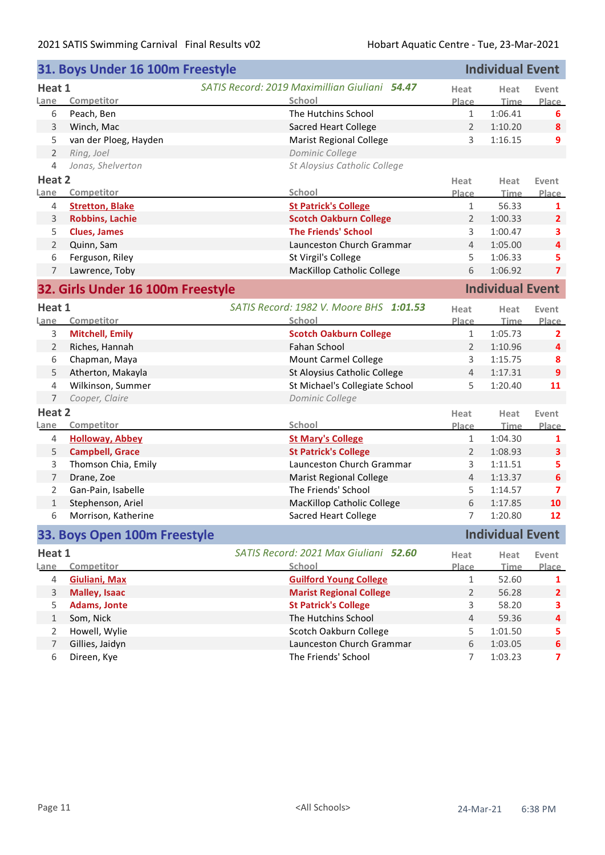|                | 31. Boys Under 16 100m Freestyle  |                                                      |                | <b>Individual Event</b> |                         |
|----------------|-----------------------------------|------------------------------------------------------|----------------|-------------------------|-------------------------|
| Heat 1         |                                   | <b>SATIS Record: 2019 Maximillian Giuliani 54.47</b> | Heat           | Heat                    | Event                   |
| Lane           | Competitor                        | School                                               | Place          | <b>Time</b>             | Place                   |
| 6              | Peach, Ben                        | The Hutchins School                                  | $\mathbf{1}$   | 1:06.41                 | 6                       |
| 3              | Winch, Mac                        | <b>Sacred Heart College</b>                          | $\overline{2}$ | 1:10.20                 | 8                       |
| 5              | van der Ploeg, Hayden             | <b>Marist Regional College</b>                       | 3              | 1:16.15                 | 9                       |
| $\overline{2}$ | Ring, Joel                        | Dominic College                                      |                |                         |                         |
| 4              | Jonas, Shelverton                 | St Aloysius Catholic College                         |                |                         |                         |
| Heat 2         |                                   |                                                      | Heat           | Heat                    | Event                   |
| Lane           | Competitor                        | School                                               | Place          | <b>Time</b>             | Place                   |
| 4              | <b>Stretton, Blake</b>            | <b>St Patrick's College</b>                          | $\mathbf{1}$   | 56.33                   | 1                       |
| 3              | <b>Robbins, Lachie</b>            | <b>Scotch Oakburn College</b>                        | $\overline{2}$ | 1:00.33                 | $\overline{2}$          |
| 5              | <b>Clues, James</b>               | <b>The Friends' School</b>                           | 3              | 1:00.47                 | 3                       |
| $\overline{2}$ | Quinn, Sam                        | Launceston Church Grammar                            | $\overline{4}$ | 1:05.00                 | $\overline{\mathbf{4}}$ |
| 6              | Ferguson, Riley                   | St Virgil's College                                  | 5              | 1:06.33                 | 5                       |
| $\overline{7}$ | Lawrence, Toby                    | <b>MacKillop Catholic College</b>                    | 6              | 1:06.92                 | $\overline{7}$          |
|                | 32. Girls Under 16 100m Freestyle |                                                      |                | <b>Individual Event</b> |                         |
| Heat 1         |                                   | SATIS Record: 1982 V. Moore BHS 1:01.53              | Heat           | Heat                    | Event                   |
| Lane           | Competitor                        | School                                               | Place          | <b>Time</b>             | <b>Place</b>            |
| 3              | <b>Mitchell, Emily</b>            | <b>Scotch Oakburn College</b>                        | $\mathbf{1}$   | 1:05.73                 | 2                       |
| $\overline{2}$ | Riches, Hannah                    | Fahan School                                         | $\overline{2}$ | 1:10.96                 | $\overline{\mathbf{4}}$ |
| 6              | Chapman, Maya                     | <b>Mount Carmel College</b>                          | 3              | 1:15.75                 | 8                       |
| 5              | Atherton, Makayla                 | St Aloysius Catholic College                         | $\overline{4}$ | 1:17.31                 | 9                       |
| 4              | Wilkinson, Summer                 | St Michael's Collegiate School                       | 5              | 1:20.40                 | 11                      |
| $\overline{7}$ | Cooper, Claire                    | Dominic College                                      |                |                         |                         |
| Heat 2         |                                   |                                                      | Heat           | Heat                    | Event                   |
| Lane           | Competitor                        | School                                               | Place          | <b>Time</b>             | Place                   |
| 4              | <b>Holloway, Abbey</b>            | <b>St Mary's College</b>                             | $\mathbf{1}$   | 1:04.30                 | 1                       |
| 5              | <b>Campbell, Grace</b>            | <b>St Patrick's College</b>                          | $\overline{2}$ | 1:08.93                 | 3                       |
| 3              | Thomson Chia, Emily               | Launceston Church Grammar                            | 3              | 1:11.51                 | 5                       |
| $\overline{7}$ | Drane, Zoe                        | <b>Marist Regional College</b>                       | $\overline{4}$ | 1:13.37                 | 6                       |
| $\overline{2}$ | Gan-Pain, Isabelle                | The Friends' School                                  | 5              | 1:14.57                 | $\overline{ }$          |
| $\mathbf{1}$   | Stephenson, Ariel                 | <b>MacKillop Catholic College</b>                    | 6              | 1:17.85                 | 10                      |
| 6              | Morrison, Katherine               | <b>Sacred Heart College</b>                          | 7              | 1:20.80                 | 12                      |
|                | 33. Boys Open 100m Freestyle      |                                                      |                | <b>Individual Event</b> |                         |
| Heat 1         |                                   | SATIS Record: 2021 Max Giuliani 52.60                | Heat           | Heat                    | Event                   |
| Lane           | Competitor                        | School                                               | Place          | <b>Time</b>             | <b>Place</b>            |
| $\overline{4}$ | <b>Giuliani, Max</b>              | <b>Guilford Young College</b>                        | $\mathbf{1}$   | 52.60                   | 1                       |
| $\mathsf 3$    | <b>Malley, Isaac</b>              | <b>Marist Regional College</b>                       | $\overline{2}$ | 56.28                   | $\overline{2}$          |
| 5              | <b>Adams, Jonte</b>               | <b>St Patrick's College</b>                          | 3              | 58.20                   | 3                       |
| $\mathbf{1}$   | Som, Nick                         | The Hutchins School                                  | 4              | 59.36                   | 4                       |
| $\overline{2}$ | Howell, Wylie                     | Scotch Oakburn College                               | 5              | 1:01.50                 | 5                       |
| $\overline{7}$ | Gillies, Jaidyn                   | Launceston Church Grammar                            | 6              | 1:03.05                 | $\boldsymbol{6}$        |
| 6              | Direen, Kye                       | The Friends' School                                  | $\overline{7}$ | 1:03.23                 | $\overline{\mathbf{z}}$ |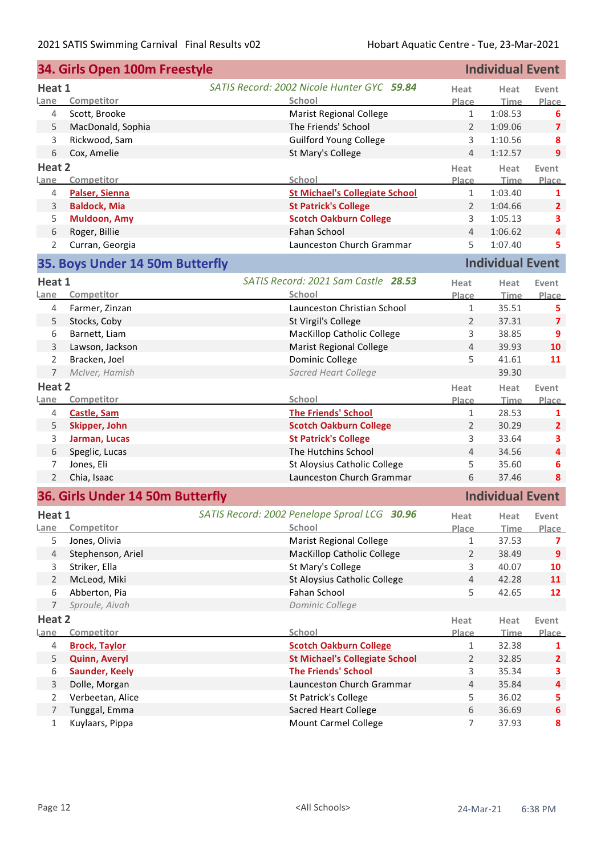|                     | 34. Girls Open 100m Freestyle    |                                                   |                | <b>Individual Event</b> |                  |  |
|---------------------|----------------------------------|---------------------------------------------------|----------------|-------------------------|------------------|--|
| Heat 1              |                                  | SATIS Record: 2002 Nicole Hunter GYC 59.84        | Heat           | Heat                    | Event            |  |
| Lane                | Competitor                       | School                                            | <b>Place</b>   | Time                    | Place            |  |
| 4                   | Scott, Brooke                    | <b>Marist Regional College</b>                    | $\mathbf{1}$   | 1:08.53                 | 6                |  |
| 5                   | MacDonald, Sophia                | The Friends' School                               | $\overline{2}$ | 1:09.06                 | $\overline{7}$   |  |
| 3                   | Rickwood, Sam                    | <b>Guilford Young College</b>                     | 3              | 1:10.56                 | 8                |  |
| 6                   | Cox, Amelie                      | St Mary's College                                 | $\overline{4}$ | 1:12.57                 | 9                |  |
| Heat 2              |                                  |                                                   | Heat           | Heat                    | Event            |  |
| Lane                | Competitor                       | School                                            | <u>Place</u>   | <b>Time</b>             | Place            |  |
| 4                   | Palser, Sienna                   | <b>St Michael's Collegiate School</b>             | $\mathbf{1}$   | 1:03.40                 | 1                |  |
| 3                   | <b>Baldock, Mia</b>              | <b>St Patrick's College</b>                       | $\overline{2}$ | 1:04.66                 | $\overline{2}$   |  |
| 5                   | <b>Muldoon, Amy</b>              | <b>Scotch Oakburn College</b>                     | 3              | 1:05.13                 | 3                |  |
| 6                   | Roger, Billie                    | Fahan School                                      | $\overline{4}$ | 1:06.62                 | $\overline{4}$   |  |
| $\overline{2}$      | Curran, Georgia                  | Launceston Church Grammar                         | 5              | 1:07.40                 | 5                |  |
|                     | 35. Boys Under 14 50m Butterfly  |                                                   |                | <b>Individual Event</b> |                  |  |
|                     |                                  | SATIS Record: 2021 Sam Castle 28.53               |                |                         |                  |  |
| Heat 1<br>Lane      | Competitor                       | School                                            | Heat<br>Place  | Heat<br><b>Time</b>     | Event<br>Place   |  |
| 4                   | Farmer, Zinzan                   | Launceston Christian School                       | $\mathbf{1}$   | 35.51                   | 5                |  |
| 5                   | Stocks, Coby                     | St Virgil's College                               | 2              | 37.31                   | $\overline{7}$   |  |
| 6                   | Barnett, Liam                    | <b>MacKillop Catholic College</b>                 | 3              | 38.85                   | $\overline{9}$   |  |
| 3                   | Lawson, Jackson                  |                                                   | $\overline{4}$ | 39.93                   | 10               |  |
|                     | Bracken, Joel                    | <b>Marist Regional College</b><br>Dominic College | 5              |                         | 11               |  |
| 2<br>$\overline{7}$ |                                  |                                                   |                | 41.61<br>39.30          |                  |  |
|                     | McIver, Hamish                   | Sacred Heart College                              |                |                         |                  |  |
| Heat 2              |                                  |                                                   | Heat           | Heat                    | Event            |  |
| Lane                | Competitor                       | School                                            | Place          | <b>Time</b>             | Place            |  |
| 4                   | <b>Castle, Sam</b>               | <b>The Friends' School</b>                        | $\mathbf{1}$   | 28.53                   | 1                |  |
| 5                   | Skipper, John                    | <b>Scotch Oakburn College</b>                     | $\overline{2}$ | 30.29                   | $\overline{2}$   |  |
| 3                   | Jarman, Lucas                    | <b>St Patrick's College</b>                       | 3              | 33.64                   | 3                |  |
| 6                   | Speglic, Lucas                   | The Hutchins School                               | $\overline{4}$ | 34.56                   | 4                |  |
| 7                   | Jones, Eli                       | St Aloysius Catholic College                      | 5              | 35.60                   | 6                |  |
| $\overline{2}$      | Chia, Isaac                      | Launceston Church Grammar                         | 6              | 37.46                   | 8                |  |
|                     | 36. Girls Under 14 50m Butterfly |                                                   |                | <b>Individual Event</b> |                  |  |
| Heat 1              |                                  | SATIS Record: 2002 Penelope Sproal LCG 30.96      | Heat           | Heat                    | Event            |  |
| Lane                | Competitor                       | School                                            | Place          | Time                    | Place            |  |
| 5                   | Jones, Olivia                    | <b>Marist Regional College</b>                    | 1              | 37.53                   | 7                |  |
| 4                   | Stephenson, Ariel                | <b>MacKillop Catholic College</b>                 | $\overline{2}$ | 38.49                   | 9                |  |
| 3                   | Striker, Ella                    | St Mary's College                                 | 3              | 40.07                   | 10               |  |
| $\overline{2}$      | McLeod, Miki                     | St Aloysius Catholic College                      | $\overline{4}$ | 42.28                   | 11               |  |
| 6                   | Abberton, Pia                    | Fahan School                                      | 5              | 42.65                   | 12               |  |
| $\overline{7}$      | Sproule, Aivah                   | Dominic College                                   |                |                         |                  |  |
| Heat 2              |                                  |                                                   | Heat           | Heat                    | Event            |  |
| Lane                | Competitor                       | School                                            | Place          | <b>Time</b>             | Place            |  |
| 4                   | <b>Brock, Taylor</b>             | <b>Scotch Oakburn College</b>                     | 1              | 32.38                   | 1                |  |
| 5                   | <b>Quinn, Averyl</b>             | <b>St Michael's Collegiate School</b>             | $\overline{2}$ | 32.85                   | $\overline{2}$   |  |
| 6                   | <b>Saunder, Keely</b>            | <b>The Friends' School</b>                        | 3              | 35.34                   | 3                |  |
| 3                   | Dolle, Morgan                    | Launceston Church Grammar                         | $\overline{4}$ | 35.84                   | 4                |  |
| 2                   | Verbeetan, Alice                 | St Patrick's College                              | 5              | 36.02                   | 5                |  |
| 7                   | Tunggal, Emma                    | Sacred Heart College                              | 6              | 36.69                   | $\boldsymbol{6}$ |  |
| $1\,$               | Kuylaars, Pippa                  | <b>Mount Carmel College</b>                       | $\overline{7}$ | 37.93                   | 8                |  |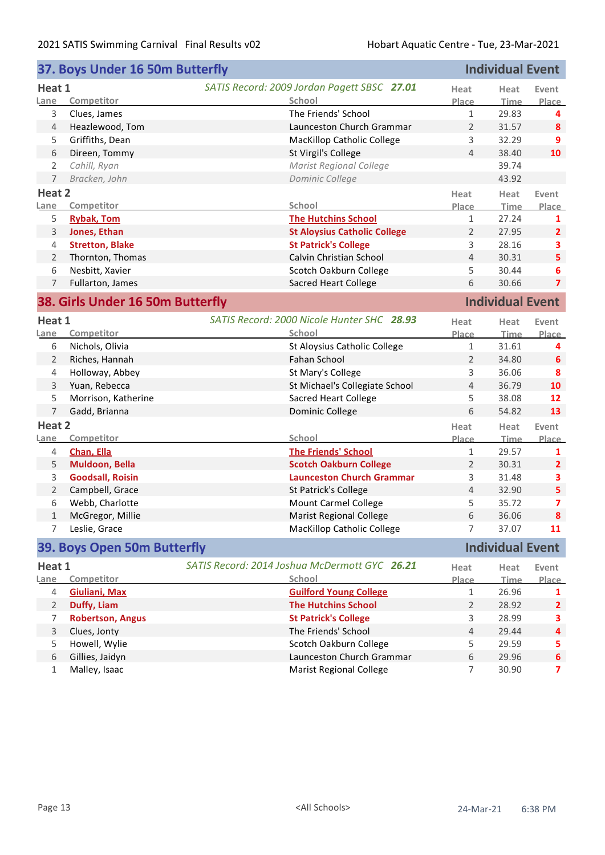|                | 37. Boys Under 16 50m Butterfly  | <b>Individual Event</b>                       |                |                         |                         |
|----------------|----------------------------------|-----------------------------------------------|----------------|-------------------------|-------------------------|
| Heat 1         |                                  | SATIS Record: 2009 Jordan Pagett SBSC 27.01   | Heat           | Heat                    | Event                   |
| Lane           | Competitor                       | School                                        | Place          | <b>Time</b>             | Place                   |
| 3              | Clues, James                     | The Friends' School                           | $\mathbf{1}$   | 29.83                   | 4                       |
| $\overline{4}$ | Heazlewood, Tom                  | Launceston Church Grammar                     | $\overline{2}$ | 31.57                   | 8                       |
| 5              | Griffiths, Dean                  | MacKillop Catholic College                    | 3              | 32.29                   | 9                       |
| 6              | Direen, Tommy                    | St Virgil's College                           | $\overline{4}$ | 38.40                   | 10                      |
| 2              | Cahill, Ryan                     | <b>Marist Regional College</b>                |                | 39.74                   |                         |
| $\overline{7}$ | Bracken, John                    | Dominic College                               |                | 43.92                   |                         |
| Heat 2         |                                  |                                               | Heat           | Heat                    | Event                   |
| Lane           | Competitor                       | School                                        | Place          | <b>Time</b>             | Place                   |
| 5              | <b>Rybak, Tom</b>                | <b>The Hutchins School</b>                    | $\mathbf{1}$   | 27.24                   | 1                       |
| 3              | Jones, Ethan                     | <b>St Aloysius Catholic College</b>           | $\overline{2}$ | 27.95                   | $\overline{2}$          |
| 4              | <b>Stretton, Blake</b>           | <b>St Patrick's College</b>                   | 3              | 28.16                   | 3                       |
| $\overline{2}$ | Thornton, Thomas                 | Calvin Christian School                       | $\overline{4}$ | 30.31                   | 5                       |
| 6              | Nesbitt, Xavier                  | Scotch Oakburn College                        | 5              | 30.44                   | 6                       |
| 7              | Fullarton, James                 | <b>Sacred Heart College</b>                   | 6              | 30.66                   | $\overline{7}$          |
|                | 38. Girls Under 16 50m Butterfly |                                               |                | <b>Individual Event</b> |                         |
| Heat 1         |                                  | SATIS Record: 2000 Nicole Hunter SHC 28.93    | Heat           | Heat                    | Event                   |
| Lane           | Competitor                       | School                                        | Place          | <b>Time</b>             | Place                   |
| 6              | Nichols, Olivia                  | St Aloysius Catholic College                  | $\mathbf{1}$   | 31.61                   | 4                       |
| $\overline{2}$ | Riches, Hannah                   | Fahan School                                  | $\overline{2}$ | 34.80                   | 6                       |
| 4              | Holloway, Abbey                  | St Mary's College                             | 3              | 36.06                   | 8                       |
| 3              | Yuan, Rebecca                    | St Michael's Collegiate School                | 4              | 36.79                   | 10                      |
| 5              | Morrison, Katherine              | <b>Sacred Heart College</b>                   | 5              | 38.08                   | 12                      |
| $\overline{7}$ | Gadd, Brianna                    | Dominic College                               | 6              | 54.82                   | 13                      |
| Heat 2         |                                  |                                               | Heat           | Heat                    | Event                   |
| Lane           | Competitor                       | School                                        | <b>Place</b>   | <b>Time</b>             | Place                   |
| 4              | Chan, Ella                       | <b>The Friends' School</b>                    | $\mathbf{1}$   | 29.57                   | 1                       |
| 5              | Muldoon, Bella                   | <b>Scotch Oakburn College</b>                 | $\overline{2}$ | 30.31                   | $\overline{2}$          |
| 3              | <b>Goodsall, Roisin</b>          | <b>Launceston Church Grammar</b>              | 3              | 31.48                   | 3                       |
| $\overline{2}$ | Campbell, Grace                  | St Patrick's College                          | 4              | 32.90                   | 5                       |
| 6              | Webb, Charlotte                  | <b>Mount Carmel College</b>                   | 5              | 35.72                   | $\overline{\mathbf{z}}$ |
| 1              | McGregor, Millie                 | <b>Marist Regional College</b>                | 6              | 36.06                   | 8                       |
| 7              | Leslie, Grace                    | <b>MacKillop Catholic College</b>             | 7              | 37.07                   | 11                      |
|                | 39. Boys Open 50m Butterfly      |                                               |                | <b>Individual Event</b> |                         |
| Heat 1         |                                  | SATIS Record: 2014 Joshua McDermott GYC 26.21 | Heat           | Heat                    | Event                   |
| Lane           | Competitor                       | School                                        | Place          | <u>Time</u>             | Place                   |
| 4              | <b>Giuliani, Max</b>             | <b>Guilford Young College</b>                 | 1              | 26.96                   | 1                       |
| 2              | Duffy, Liam                      | <b>The Hutchins School</b>                    | $\overline{2}$ | 28.92                   | $\mathbf{2}$            |
| 7              | <b>Robertson, Angus</b>          | <b>St Patrick's College</b>                   | 3              | 28.99                   | 3                       |
| 3              | Clues, Jonty                     | The Friends' School                           | 4              | 29.44                   | 4                       |
| 5              | Howell, Wylie                    | Scotch Oakburn College                        | 5              | 29.59                   | 5                       |
| 6              | Gillies, Jaidyn                  | Launceston Church Grammar                     | 6              | 29.96                   | $\boldsymbol{6}$        |
| 1              | Malley, Isaac                    | <b>Marist Regional College</b>                | 7              | 30.90                   | 7                       |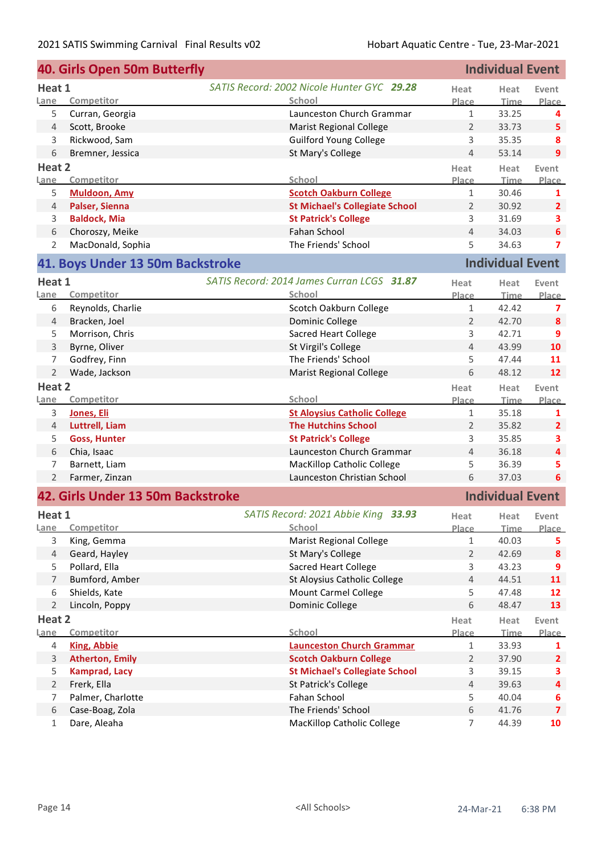|                     | 40. Girls Open 50m Butterfly      |                                                | <b>Individual Event</b> |                         |                         |  |
|---------------------|-----------------------------------|------------------------------------------------|-------------------------|-------------------------|-------------------------|--|
| Heat 1              |                                   | SATIS Record: 2002 Nicole Hunter GYC 29.28     | Heat                    | Heat                    | Event                   |  |
| Lane                | Competitor                        | School                                         | Place                   | Time                    | Place                   |  |
| 5                   | Curran, Georgia                   | Launceston Church Grammar                      | $\mathbf{1}$            | 33.25                   | 4                       |  |
| 4                   | Scott, Brooke                     | <b>Marist Regional College</b>                 | $\overline{2}$          | 33.73                   | 5                       |  |
| 3                   | Rickwood, Sam                     | <b>Guilford Young College</b>                  | 3                       | 35.35                   | 8                       |  |
| 6                   | Bremner, Jessica                  | St Mary's College                              | $\overline{4}$          | 53.14                   | 9                       |  |
| Heat 2              |                                   |                                                | Heat                    | Heat                    | Event                   |  |
| Lane                | Competitor                        | School                                         | Place                   | <b>Time</b>             | Place                   |  |
| 5                   | <b>Muldoon, Amy</b>               | <b>Scotch Oakburn College</b>                  | $\mathbf{1}$            | 30.46                   | 1                       |  |
| 4                   | Palser, Sienna                    | <b>St Michael's Collegiate School</b>          | $\overline{2}$          | 30.92                   | $\overline{2}$          |  |
| 3                   | <b>Baldock, Mia</b>               | <b>St Patrick's College</b>                    | 3                       | 31.69                   | 3                       |  |
| 6                   | Choroszy, Meike                   | Fahan School                                   | $\overline{4}$          | 34.03                   | $6\phantom{1}$          |  |
| $\overline{2}$      | MacDonald, Sophia                 | The Friends' School                            | 5                       | 34.63                   | $\overline{7}$          |  |
|                     | 41. Boys Under 13 50m Backstroke  |                                                |                         | <b>Individual Event</b> |                         |  |
| Heat 1              |                                   | SATIS Record: 2014 James Curran LCGS 31.87     | Heat                    | Heat                    | Event                   |  |
| Lane                | Competitor                        | School                                         | Place                   | <u>Time</u>             | Place                   |  |
| 6                   | Reynolds, Charlie                 | Scotch Oakburn College                         | $\mathbf{1}$            | 42.42                   | 7                       |  |
| 4                   | Bracken, Joel                     | Dominic College                                | $\overline{2}$          | 42.70                   | 8                       |  |
| 5                   | Morrison, Chris                   | <b>Sacred Heart College</b>                    | 3                       | 42.71                   | 9                       |  |
| 3                   | Byrne, Oliver                     | St Virgil's College                            | 4                       | 43.99                   | 10                      |  |
| 7                   | Godfrey, Finn                     | The Friends' School                            | 5                       | 47.44                   | 11                      |  |
| $\overline{2}$      | Wade, Jackson                     | <b>Marist Regional College</b>                 | 6                       | 48.12                   | 12                      |  |
| Heat 2              |                                   |                                                | Heat                    | Heat                    | Event                   |  |
| Lane                | Competitor                        | School                                         | Place                   | <b>Time</b>             | Place                   |  |
| 3                   | <b>Jones, Eli</b>                 | <b>St Aloysius Catholic College</b>            | $\mathbf{1}$            | 35.18                   | 1                       |  |
| 4                   | Luttrell, Liam                    | <b>The Hutchins School</b>                     | $\overline{2}$          | 35.82                   | $\overline{2}$          |  |
| 5                   | <b>Goss, Hunter</b>               | <b>St Patrick's College</b>                    | 3                       | 35.85                   | 3                       |  |
| 6                   | Chia, Isaac                       | Launceston Church Grammar                      | $\overline{4}$          | 36.18                   | 4                       |  |
| 7                   | Barnett, Liam                     | <b>MacKillop Catholic College</b>              | 5                       | 36.39                   | 5                       |  |
| $\overline{2}$      | Farmer, Zinzan                    | Launceston Christian School                    | 6                       | 37.03                   | 6                       |  |
|                     | 42. Girls Under 13 50m Backstroke |                                                |                         | <b>Individual Event</b> |                         |  |
|                     |                                   |                                                |                         |                         |                         |  |
| Heat 1              |                                   | SATIS Record: 2021 Abbie King 33.93            | Heat                    | Heat                    | Event                   |  |
| Lane                | Competitor                        | School                                         | Place                   | Time                    | Place                   |  |
| 3                   | King, Gemma                       | <b>Marist Regional College</b>                 | 1                       | 40.03                   | 5.                      |  |
| 4                   | Geard, Hayley                     | St Mary's College                              | $\overline{2}$          | 42.69                   | 8                       |  |
| 5                   | Pollard, Ella<br>Bumford, Amber   | <b>Sacred Heart College</b>                    | 3<br>$\overline{4}$     | 43.23                   | 9<br>11                 |  |
| 7                   |                                   | St Aloysius Catholic College                   |                         | 44.51<br>47.48          |                         |  |
| 6<br>$\overline{2}$ | Shields, Kate                     | <b>Mount Carmel College</b><br>Dominic College | 5<br>6                  | 48.47                   | 12<br>13                |  |
|                     | Lincoln, Poppy                    |                                                |                         |                         |                         |  |
| Heat 2<br>Lane      | Competitor                        | School                                         | Heat<br>Place           | Heat<br><b>Time</b>     | Event<br>Place          |  |
| 4                   | <b>King, Abbie</b>                | <b>Launceston Church Grammar</b>               | 1                       | 33.93                   | 1                       |  |
| 3                   | <b>Atherton, Emily</b>            | <b>Scotch Oakburn College</b>                  | $\overline{2}$          | 37.90                   | $\overline{2}$          |  |
| 5                   | <b>Kamprad, Lacy</b>              | <b>St Michael's Collegiate School</b>          | 3                       | 39.15                   | 3                       |  |
| $\overline{2}$      | Frerk, Ella                       | St Patrick's College                           | $\overline{4}$          | 39.63                   | 4                       |  |
| 7                   | Palmer, Charlotte                 | Fahan School                                   | 5                       | 40.04                   | 6                       |  |
| 6                   | Case-Boag, Zola                   | The Friends' School                            | 6                       | 41.76                   | $\overline{\mathbf{z}}$ |  |
| $\mathbf{1}$        | Dare, Aleaha                      | <b>MacKillop Catholic College</b>              | 7                       | 44.39                   | 10                      |  |
|                     |                                   |                                                |                         |                         |                         |  |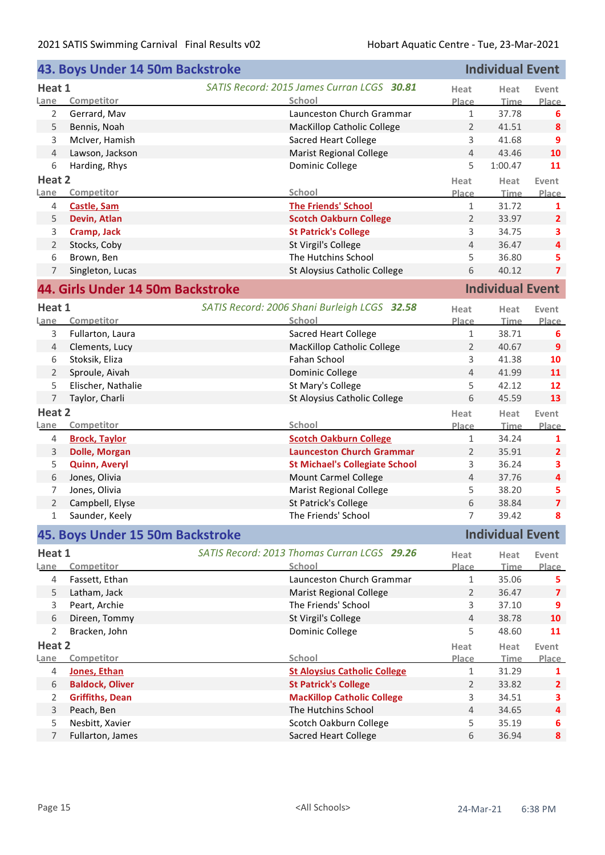|                | 43. Boys Under 14 50m Backstroke  | <b>Individual Event</b>                      |                |                         |                         |
|----------------|-----------------------------------|----------------------------------------------|----------------|-------------------------|-------------------------|
| Heat 1         |                                   | SATIS Record: 2015 James Curran LCGS 30.81   | Heat           | Heat                    | Event                   |
| Lane           | Competitor                        | School                                       | Place          | <b>Time</b>             | <b>Place</b>            |
| $\overline{2}$ | Gerrard, Mav                      | Launceston Church Grammar                    | $\mathbf{1}$   | 37.78                   | 6                       |
| 5              | Bennis, Noah                      | <b>MacKillop Catholic College</b>            | $\overline{2}$ | 41.51                   | 8                       |
| 3              | McIver, Hamish                    | <b>Sacred Heart College</b>                  | 3              | 41.68                   | 9                       |
| $\overline{4}$ | Lawson, Jackson                   | <b>Marist Regional College</b>               | $\overline{4}$ | 43.46                   | 10                      |
| 6              | Harding, Rhys                     | Dominic College                              | 5              | 1:00.47                 | 11                      |
| Heat 2         |                                   |                                              | Heat           | Heat                    | Event                   |
| Lane           | Competitor                        | School                                       | <b>Place</b>   | <b>Time</b>             | Place                   |
| 4              | Castle, Sam                       | <b>The Friends' School</b>                   | $\mathbf{1}$   | 31.72                   | 1                       |
| 5              | Devin, Atlan                      | <b>Scotch Oakburn College</b>                | $\overline{2}$ | 33.97                   | $\overline{2}$          |
| 3              | Cramp, Jack                       | <b>St Patrick's College</b>                  | 3              | 34.75                   | 3                       |
| $\overline{2}$ | Stocks, Coby                      | St Virgil's College                          | $\overline{4}$ | 36.47                   | 4                       |
| 6              | Brown, Ben                        | The Hutchins School                          | 5              | 36.80                   | 5                       |
| 7              | Singleton, Lucas                  | St Aloysius Catholic College                 | 6              | 40.12                   | $\overline{\mathbf{z}}$ |
|                | 44. Girls Under 14 50m Backstroke |                                              |                | <b>Individual Event</b> |                         |
| Heat 1         |                                   | SATIS Record: 2006 Shani Burleigh LCGS 32.58 | Heat           | Heat                    | Event                   |
| Lane           | Competitor                        | School                                       | Place          | <b>Time</b>             | Place                   |
| 3              | Fullarton, Laura                  | <b>Sacred Heart College</b>                  | $\mathbf{1}$   | 38.71                   | 6                       |
| $\overline{4}$ | Clements, Lucy                    | <b>MacKillop Catholic College</b>            | $\overline{2}$ | 40.67                   | $\overline{9}$          |
| 6              | Stoksik, Eliza                    | Fahan School                                 | 3              | 41.38                   | 10                      |
| $\overline{2}$ | Sproule, Aivah                    | Dominic College                              | $\overline{4}$ | 41.99                   | 11                      |
| 5              | Elischer, Nathalie                | St Mary's College                            | 5              | 42.12                   | 12                      |
| $\overline{7}$ | Taylor, Charli                    | St Aloysius Catholic College                 | 6              | 45.59                   | 13                      |
| Heat 2         |                                   |                                              | Heat           | Heat                    | Event                   |
| Lane           | Competitor                        | School                                       | <b>Place</b>   | <b>Time</b>             | Place                   |
| 4              | <b>Brock, Taylor</b>              | <b>Scotch Oakburn College</b>                | $\mathbf{1}$   | 34.24                   | 1                       |
| 3              | <b>Dolle, Morgan</b>              | <b>Launceston Church Grammar</b>             | $\overline{2}$ | 35.91                   | $\mathbf{2}$            |
| 5              | <b>Quinn, Averyl</b>              | <b>St Michael's Collegiate School</b>        | 3              | 36.24                   | 3                       |
| 6              | Jones, Olivia                     | <b>Mount Carmel College</b>                  | 4              | 37.76                   | 4                       |
| 7              | Jones, Olivia                     | <b>Marist Regional College</b>               | 5              | 38.20                   | 5                       |
| $\overline{2}$ | Campbell, Elyse                   | St Patrick's College                         | 6              | 38.84                   | $\overline{7}$          |
| 1.             | Saunder, Keely                    | The Friends' School                          | 7              | 39.42                   | 8                       |
|                | 45. Boys Under 15 50m Backstroke  |                                              |                | <b>Individual Event</b> |                         |
| Heat 1         |                                   | SATIS Record: 2013 Thomas Curran LCGS 29.26  | Heat           | Heat                    | Event                   |
| Lane           | Competitor                        | School                                       | <b>Place</b>   | <b>Time</b>             | Place                   |
| 4              | Fassett, Ethan                    | Launceston Church Grammar                    | 1              | 35.06                   | 5.                      |
| 5              | Latham, Jack                      | <b>Marist Regional College</b>               | 2              | 36.47                   | $\overline{\mathbf{z}}$ |
| 3              | Peart, Archie                     | The Friends' School                          | 3              | 37.10                   | 9                       |
| 6              | Direen, Tommy                     | St Virgil's College                          | 4              | 38.78                   | 10                      |
| 2              | Bracken, John                     | Dominic College                              | 5              | 48.60                   | 11                      |
| Heat 2         |                                   |                                              | Heat           | Heat                    | Event                   |
| Lane           | Competitor                        | School                                       | <b>Place</b>   | Time                    | Place                   |
| 4              | Jones, Ethan                      | <b>St Aloysius Catholic College</b>          | $\mathbf{1}$   | 31.29                   | 1                       |
| 6              | <b>Baldock, Oliver</b>            | <b>St Patrick's College</b>                  | $\overline{2}$ | 33.82                   | $\mathbf{2}$            |
| 2              | <b>Griffiths, Dean</b>            | <b>MacKillop Catholic College</b>            | 3              | 34.51                   | 3                       |
| 3              | Peach, Ben                        | The Hutchins School                          | $\overline{4}$ | 34.65                   | 4                       |
| 5              | Nesbitt, Xavier                   | Scotch Oakburn College                       | 5              | 35.19                   | 6                       |
| $\overline{7}$ | Fullarton, James                  | <b>Sacred Heart College</b>                  | 6              | 36.94                   | 8                       |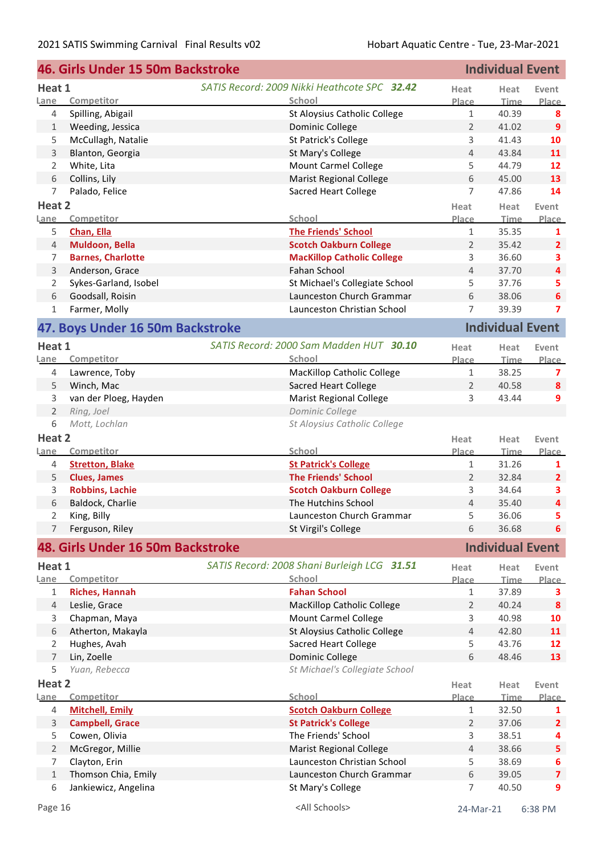|                | 46. Girls Under 15 50m Backstroke |                                              | <b>Individual Event</b> |                         |                         |
|----------------|-----------------------------------|----------------------------------------------|-------------------------|-------------------------|-------------------------|
| Heat 1         |                                   | SATIS Record: 2009 Nikki Heathcote SPC 32.42 | Heat                    | Heat                    | Event                   |
| Lane           | Competitor                        | School                                       | Place                   | <b>Time</b>             | <b>Place</b>            |
| 4              | Spilling, Abigail                 | St Aloysius Catholic College                 | $\mathbf{1}$            | 40.39                   | 8                       |
| 1              | Weeding, Jessica                  | Dominic College                              | $\overline{2}$          | 41.02                   | 9                       |
| 5              | McCullagh, Natalie                | St Patrick's College                         | 3                       | 41.43                   | 10                      |
| $\mathsf 3$    | Blanton, Georgia                  | St Mary's College                            | 4                       | 43.84                   | 11                      |
| $\overline{2}$ | White, Lita                       | Mount Carmel College                         | 5                       | 44.79                   | 12                      |
| 6              | Collins, Lily                     | <b>Marist Regional College</b>               | 6                       | 45.00                   | 13                      |
| $\overline{7}$ | Palado, Felice                    | <b>Sacred Heart College</b>                  | $\overline{7}$          | 47.86                   | 14                      |
| Heat 2         |                                   |                                              | Heat                    | Heat                    | Event                   |
| Lane           | Competitor                        | School                                       | Place                   | <b>Time</b>             | Place                   |
| 5              | Chan, Ella                        | <b>The Friends' School</b>                   | $\mathbf{1}$            | 35.35                   | 1                       |
| $\overline{4}$ | Muldoon, Bella                    | <b>Scotch Oakburn College</b>                | $\overline{2}$          | 35.42                   | $\overline{2}$          |
| 7              | <b>Barnes, Charlotte</b>          | <b>MacKillop Catholic College</b>            | 3                       | 36.60                   | 3                       |
| 3              | Anderson, Grace                   | <b>Fahan School</b>                          | $\overline{4}$          | 37.70                   | $\overline{4}$          |
| 2              | Sykes-Garland, Isobel             | St Michael's Collegiate School               | 5                       | 37.76                   | 5                       |
| 6              | Goodsall, Roisin                  | Launceston Church Grammar                    | 6                       | 38.06                   | $\boldsymbol{6}$        |
| 1              | Farmer, Molly                     | Launceston Christian School                  | $\overline{7}$          | 39.39                   | $\overline{ }$          |
|                |                                   |                                              |                         | <b>Individual Event</b> |                         |
|                | 47. Boys Under 16 50m Backstroke  |                                              |                         |                         |                         |
| Heat 1         |                                   | SATIS Record: 2000 Sam Madden HUT 30.10      | Heat                    | Heat                    | Event                   |
| Lane           | Competitor                        | School                                       | Place                   | <b>Time</b>             | <b>Place</b>            |
| $\overline{4}$ | Lawrence, Toby                    | <b>MacKillop Catholic College</b>            | $\mathbf{1}$            | 38.25                   | 7                       |
| 5              | Winch, Mac                        | <b>Sacred Heart College</b>                  | $\overline{2}$          | 40.58                   | 8                       |
| 3              | van der Ploeg, Hayden             | <b>Marist Regional College</b>               | 3                       | 43.44                   | 9                       |
| $\overline{2}$ | Ring, Joel                        | Dominic College                              |                         |                         |                         |
| 6              | Mott, Lochlan                     | St Aloysius Catholic College                 |                         |                         |                         |
| Heat 2         |                                   |                                              | Heat                    | Heat                    | Event                   |
| <u>Lane</u>    | Competitor                        | School                                       | Place                   | <b>Time</b>             | Place                   |
| 4              | <b>Stretton, Blake</b>            | <b>St Patrick's College</b>                  | $\mathbf{1}$            | 31.26                   | 1                       |
| 5              | <b>Clues, James</b>               | <b>The Friends' School</b>                   | $\overline{2}$          | 32.84                   | $\overline{2}$          |
| 3              | <b>Robbins, Lachie</b>            | <b>Scotch Oakburn College</b>                | 3                       | 34.64                   | 3                       |
| 6              | Baldock, Charlie                  | The Hutchins School                          | $\overline{4}$          | 35.40                   | $\overline{\mathbf{4}}$ |
| I.             | King, Billy                       | Launceston Church Grammar                    | 5                       | 36.06                   | 5                       |
| $\overline{7}$ | Ferguson, Riley                   | St Virgil's College                          | 6                       | 36.68                   | 6                       |
|                | 48. Girls Under 16 50m Backstroke |                                              |                         | <b>Individual Event</b> |                         |
|                |                                   |                                              |                         |                         |                         |
| Heat 1         |                                   | SATIS Record: 2008 Shani Burleigh LCG 31.51  | Heat                    | Heat                    | Event                   |
| Lane           | Competitor                        | <b>School</b>                                | Place                   | <b>Time</b>             | Place                   |
| $\mathbf{1}$   | <b>Riches, Hannah</b>             | <b>Fahan School</b>                          | $\mathbf{1}$            | 37.89                   | з                       |
| 4              | Leslie, Grace                     | <b>MacKillop Catholic College</b>            | 2                       | 40.24                   | 8                       |
| 3              | Chapman, Maya                     | <b>Mount Carmel College</b>                  | 3                       | 40.98                   | 10                      |
| 6              | Atherton, Makayla                 | St Aloysius Catholic College                 | 4                       | 42.80                   | 11                      |
| 2              | Hughes, Avah                      | <b>Sacred Heart College</b>                  | 5                       | 43.76                   | 12                      |
| $\overline{7}$ | Lin, Zoelle                       | Dominic College                              | 6                       | 48.46                   | 13                      |
| 5              | Yuan, Rebecca                     | St Michael's Collegiate School               |                         |                         |                         |
| Heat 2         |                                   |                                              | Heat                    | Heat                    | Event                   |
| Lane           | Competitor                        | School                                       | Place                   | Time                    | Place                   |
| 4              | <b>Mitchell, Emily</b>            | <b>Scotch Oakburn College</b>                | $\mathbf{1}$            | 32.50                   | 1                       |
| 3              | <b>Campbell, Grace</b>            | <b>St Patrick's College</b>                  | $\overline{2}$          | 37.06                   | $\overline{2}$          |
| 5              | Cowen, Olivia                     | The Friends' School                          | 3                       | 38.51                   | 4                       |
| $\overline{2}$ | McGregor, Millie                  | <b>Marist Regional College</b>               | 4                       | 38.66                   | 5                       |
| 7              | Clayton, Erin                     | Launceston Christian School                  | 5                       | 38.69                   | 6                       |
| $\,1\,$        | Thomson Chia, Emily               | Launceston Church Grammar                    | 6                       | 39.05                   | $\overline{\mathbf{z}}$ |
| 6              | Jankiewicz, Angelina              | St Mary's College                            | 7                       | 40.50                   | 9                       |
| Page 16        |                                   | <all schools=""></all>                       | 24-Mar-21               |                         | 6:38 PM                 |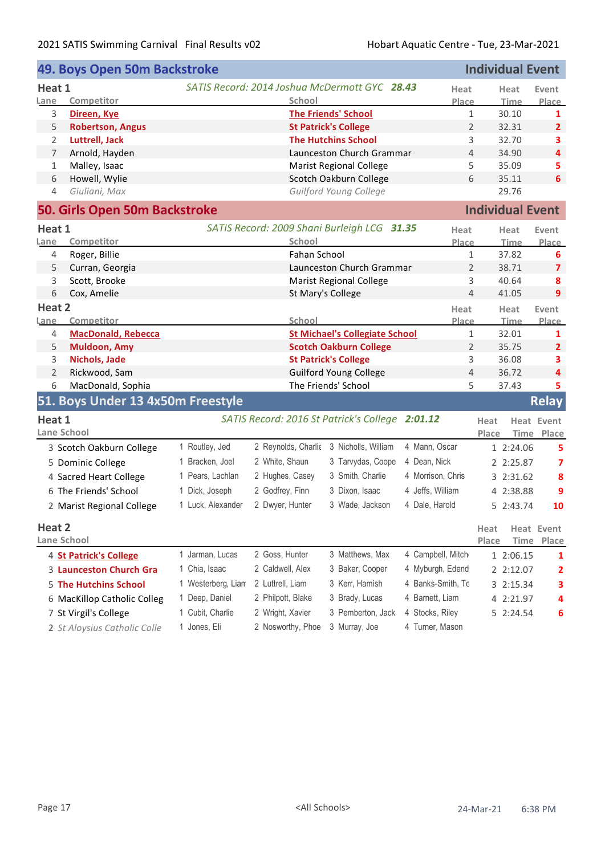|                | 49. Boys Open 50m Backstroke      |                    |                     |                                                 |                   | <b>Individual Event</b> |                         |                         |
|----------------|-----------------------------------|--------------------|---------------------|-------------------------------------------------|-------------------|-------------------------|-------------------------|-------------------------|
| Heat 1         |                                   |                    |                     | SATIS Record: 2014 Joshua McDermott GYC 28.43   | Heat              |                         | Heat                    | Event                   |
| Lane           | Competitor                        |                    | School              |                                                 | Place             |                         | <b>Time</b>             | Place                   |
| 3              | Direen, Kye                       |                    |                     | <b>The Friends' School</b>                      |                   | $\mathbf{1}$            | 30.10                   | 1                       |
| 5              | <b>Robertson, Angus</b>           |                    |                     | <b>St Patrick's College</b>                     |                   | 2                       | 32.31                   | 2                       |
| 2              | <b>Luttrell, Jack</b>             |                    |                     | <b>The Hutchins School</b>                      |                   | 3                       | 32.70                   | 3                       |
| 7              | Arnold, Hayden                    |                    |                     | Launceston Church Grammar                       |                   | $\overline{4}$          | 34.90                   | 4                       |
| $\mathbf{1}$   | Malley, Isaac                     |                    |                     | <b>Marist Regional College</b>                  |                   | 5                       | 35.09                   | 5                       |
| 6              | Howell, Wylie                     |                    |                     | Scotch Oakburn College                          |                   | 6                       | 35.11                   | 6                       |
| 4              | Giuliani, Max                     |                    |                     | Guilford Young College                          |                   |                         | 29.76                   |                         |
|                | 50. Girls Open 50m Backstroke     |                    |                     |                                                 |                   |                         | <b>Individual Event</b> |                         |
| Heat 1         |                                   |                    |                     | SATIS Record: 2009 Shani Burleigh LCG 31.35     | Heat              |                         | Heat                    | Event                   |
| Lane           | Competitor                        |                    | School              |                                                 | Place             |                         | <u>Time</u>             | <b>Place</b>            |
| 4              | Roger, Billie                     |                    | Fahan School        |                                                 |                   | $\mathbf{1}$            | 37.82                   | 6                       |
| 5              | Curran, Georgia                   |                    |                     | Launceston Church Grammar                       |                   | $\overline{2}$          | 38.71                   | $\overline{\mathbf{z}}$ |
| 3              | Scott, Brooke                     |                    |                     | <b>Marist Regional College</b>                  |                   | 3                       | 40.64                   | 8                       |
| 6              | Cox, Amelie                       |                    |                     | St Mary's College                               |                   | $\overline{4}$          | 41.05                   | 9                       |
| Heat 2         |                                   |                    |                     |                                                 | Heat              |                         | Heat                    | Event                   |
| Lane           | Competitor                        |                    | School              |                                                 | Place             |                         | <b>Time</b>             | Place                   |
| 4              | <b>MacDonald, Rebecca</b>         |                    |                     | <b>St Michael's Collegiate School</b>           |                   | $\mathbf 1$             | 32.01                   | 1                       |
| 5              | <b>Muldoon, Amy</b>               |                    |                     | <b>Scotch Oakburn College</b>                   |                   | 2                       | 35.75                   | 2                       |
| 3              | Nichols, Jade                     |                    |                     | <b>St Patrick's College</b>                     |                   | 3                       | 36.08                   | 3                       |
| $\overline{2}$ | Rickwood, Sam                     |                    |                     | <b>Guilford Young College</b>                   |                   | 4                       | 36.72                   | 4                       |
| 6              | MacDonald, Sophia                 |                    |                     | The Friends' School                             |                   | 5                       | 37.43                   | 5                       |
|                | 51. Boys Under 13 4x50m Freestyle |                    |                     |                                                 |                   |                         |                         | <b>Relay</b>            |
| Heat 1         |                                   |                    |                     | SATIS Record: 2016 St Patrick's College 2:01.12 |                   | Heat                    |                         | <b>Heat Event</b>       |
|                | Lane School                       |                    |                     |                                                 |                   | Place                   | Time                    | Place                   |
|                | 3 Scotch Oakburn College          | 1 Routley, Jed     | 2 Reynolds, Charlie | 3 Nicholls, William                             | 4 Mann, Oscar     |                         | 1 2:24.06               | 5                       |
|                | 5 Dominic College                 | 1 Bracken, Joel    | 2 White, Shaun      | 3 Tarvydas, Coope                               | 4 Dean, Nick      |                         | 2 2:25.87               | 7                       |
|                | 4 Sacred Heart College            | 1 Pears, Lachlan   | 2 Hughes, Casey     | 3 Smith, Charlie                                | 4 Morrison, Chris |                         | 3 2:31.62               | 8                       |
|                | 6 The Friends' School             | 1 Dick, Joseph     | 2 Godfrey, Finn     | 3 Dixon, Isaac                                  | 4 Jeffs, William  |                         | 4 2:38.88               | 9                       |
|                | 2 Marist Regional College         | 1 Luck, Alexander  | 2 Dwyer, Hunter     | 3 Wade, Jackson                                 | 4 Dale, Harold    |                         | 5 2:43.74               | 10                      |
| Heat 2         |                                   |                    |                     |                                                 |                   | Heat                    |                         | <b>Heat Event</b>       |
|                | Lane School                       |                    |                     |                                                 |                   | Place                   | Time                    | Place                   |
|                | 4 St Patrick's College            | 1 Jarman, Lucas    | 2 Goss, Hunter      | 3 Matthews, Max                                 | 4 Campbell, Mitch |                         | 1 2:06.15               | 1                       |
|                | 3 Launceston Church Gra           | 1 Chia, Isaac      | 2 Caldwell, Alex    | 3 Baker, Cooper                                 | 4 Myburgh, Edend  |                         | 2 2:12.07               |                         |
|                |                                   | 1 Westerberg, Liam | 2 Luttrell, Liam    | 3 Kerr, Hamish                                  | 4 Banks-Smith, Te |                         |                         | 2                       |
|                | <b>5 The Hutchins School</b>      |                    |                     |                                                 |                   |                         | 3 2:15.34               | З                       |
|                | 6 MacKillop Catholic Colleg       | 1 Deep, Daniel     | 2 Philpott, Blake   | 3 Brady, Lucas                                  | 4 Barnett, Liam   |                         | 4 2:21.97               | 4                       |
|                | 7 St Virgil's College             | 1 Cubit, Charlie   | 2 Wright, Xavier    | 3 Pemberton, Jack                               | 4 Stocks, Riley   |                         | 5 2:24.54               | 6                       |
|                | 2 St Aloysius Catholic Colle      | 1 Jones, Eli       | 2 Nosworthy, Phoe   | 3 Murray, Joe                                   | 4 Turner, Mason   |                         |                         |                         |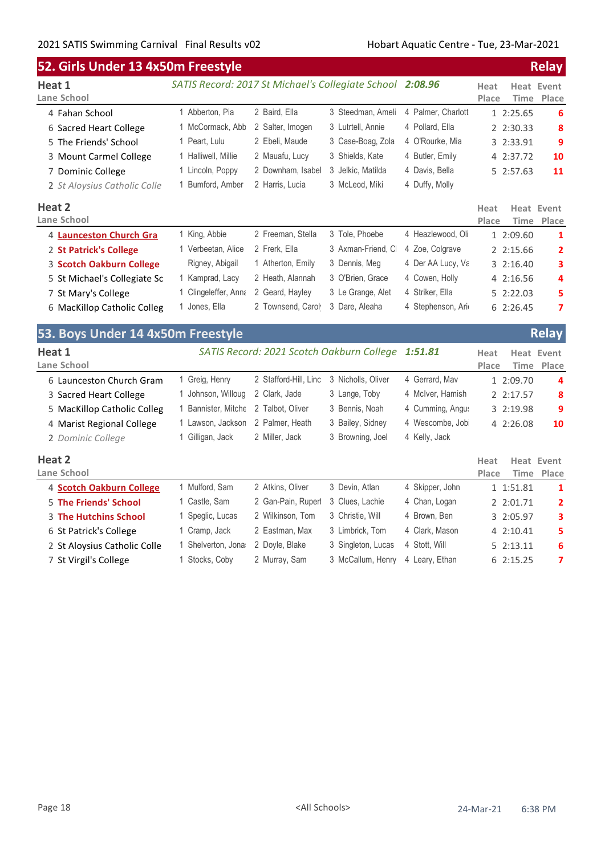| 52. Girls Under 13 4x50m Freestyle |                                                           |                       |                                           |                    | <b>Relay</b>  |                                    |  |
|------------------------------------|-----------------------------------------------------------|-----------------------|-------------------------------------------|--------------------|---------------|------------------------------------|--|
| Heat 1<br>Lane School              | SATIS Record: 2017 St Michael's Collegiate School 2:08.96 |                       |                                           |                    | Heat<br>Place | <b>Heat Event</b><br>Place<br>Time |  |
| 4 Fahan School                     | 1 Abberton, Pia                                           | 2 Baird, Ella         | 3 Steedman, Ameli                         | 4 Palmer, Charlott | 1 2:25.65     | 6                                  |  |
| 6 Sacred Heart College             | 1 McCormack, Abb                                          | 2 Salter, Imogen      | 3 Lutrtell, Annie                         | 4 Pollard, Ella    | 2 2:30.33     | 8                                  |  |
| 5 The Friends' School              | 1 Peart, Lulu                                             | 2 Ebeli, Maude        | 3 Case-Boag, Zola                         | 4 O'Rourke, Mia    | 3 2:33.91     | 9                                  |  |
| 3 Mount Carmel College             | 1 Halliwell, Millie                                       | 2 Mauafu, Lucy        | 3 Shields, Kate                           | 4 Butler, Emily    | 4 2:37.72     | 10                                 |  |
| 7 Dominic College                  | 1 Lincoln, Poppy                                          | 2 Downham, Isabel     | 3 Jelkic, Matilda                         | 4 Davis, Bella     | 5 2:57.63     | 11                                 |  |
| 2 St Aloysius Catholic Colle       | 1 Bumford, Amber                                          | 2 Harris, Lucia       | 3 McLeod, Miki                            | 4 Duffy, Molly     |               |                                    |  |
| Heat 2<br>Lane School              |                                                           |                       |                                           |                    | Heat<br>Place | Heat Event<br>Place<br>Time        |  |
| 4 Launceston Church Gra            | 1 King, Abbie                                             | 2 Freeman, Stella     | 3 Tole, Phoebe                            | 4 Heazlewood, Oli  | 1 2:09.60     | 1                                  |  |
| 2 St Patrick's College             | 1 Verbeetan, Alice                                        | 2 Frerk, Ella         | 3 Axman-Friend, CI                        | 4 Zoe, Colgrave    | 2 2:15.66     | 2                                  |  |
| 3 Scotch Oakburn College           | Rigney, Abigail                                           | 1 Atherton, Emily     | 3 Dennis, Meg                             | 4 Der AA Lucy, Va  | 3 2:16.40     | 3                                  |  |
| 5 St Michael's Collegiate Sc       | 1 Kamprad, Lacy                                           | 2 Heath, Alannah      | 3 O'Brien, Grace                          | 4 Cowen, Holly     | 4 2:16.56     | 4                                  |  |
| 7 St Mary's College                | 1 Clingeleffer, Anna                                      | 2 Geard, Hayley       | 3 Le Grange, Alet                         | 4 Striker, Ella    | 5 2:22.03     | 5                                  |  |
| 6 MacKillop Catholic Colleg        | 1 Jones, Ella                                             | 2 Townsend, Carol     | 3 Dare, Aleaha                            | 4 Stephenson, Ari  | 62:26.45      | 7                                  |  |
| 53. Boys Under 14 4x50m Freestyle  |                                                           |                       |                                           |                    |               | <b>Relay</b>                       |  |
| Heat 1                             |                                                           |                       | SATIS Record: 2021 Scotch Oakburn College | 1:51.81            | Heat          | <b>Heat Event</b>                  |  |
| Lane School                        |                                                           |                       |                                           |                    | Place         | Place<br>Time                      |  |
| 6 Launceston Church Gram           | 1 Greig, Henry                                            | 2 Stafford-Hill, Linc | 3 Nicholls, Oliver                        | 4 Gerrard, Mav     | 1 2:09.70     | 4                                  |  |
| 3 Sacred Heart College             | 1 Johnson, Willoug                                        | 2 Clark, Jade         | 3 Lange, Toby                             | 4 McIver, Hamish   | 2 2:17.57     | 8                                  |  |
| 5 MacKillop Catholic Colleg        | 1 Bannister, Mitche                                       | 2 Talbot, Oliver      | 3 Bennis, Noah                            | 4 Cumming, Angus   | 3 2:19.98     | 9                                  |  |
| 4 Marist Regional College          | 1 Lawson, Jackson                                         | 2 Palmer, Heath       | 3 Bailey, Sidney                          | 4 Wescombe, Job    | 4 2:26.08     | 10                                 |  |
| 2 Dominic College                  | 1 Gilligan, Jack                                          | 2 Miller, Jack        | 3 Browning, Joel                          | 4 Kelly, Jack      |               |                                    |  |
| Heat 2<br>Lane School              |                                                           |                       |                                           |                    | Heat<br>Place | Heat Event<br><b>Time</b><br>Place |  |
| 4 Scotch Oakburn College           | 1 Mulford, Sam                                            | 2 Atkins, Oliver      | 3 Devin, Atlan                            | 4 Skipper, John    | 1 1:51.81     | 1                                  |  |
| 5 The Friends' School              | 1 Castle, Sam                                             | 2 Gan-Pain, Ruperl    | 3 Clues, Lachie                           | 4 Chan, Logan      | 2 2:01.71     | 2                                  |  |
| <b>3 The Hutchins School</b>       | 1 Speglic, Lucas                                          | 2 Wilkinson, Tom      | 3 Christie, Will                          | 4 Brown, Ben       | 3 2:05.97     | з                                  |  |
| 6 St Patrick's College             | 1 Cramp, Jack                                             | 2 Eastman, Max        | 3 Limbrick, Tom                           | 4 Clark, Mason     | 4 2:10.41     | 5                                  |  |
| 2 St Aloysius Catholic Colle       | 1 Shelverton, Jona                                        | 2 Doyle, Blake        | 3 Singleton, Lucas                        | 4 Stott, Will      | 52:13.11      | 6                                  |  |
| 7 St Virgil's College              | 1 Stocks, Coby                                            | 2 Murray, Sam         | 3 McCallum, Henry                         | 4 Leary, Ethan     | 62:15.25      | 7                                  |  |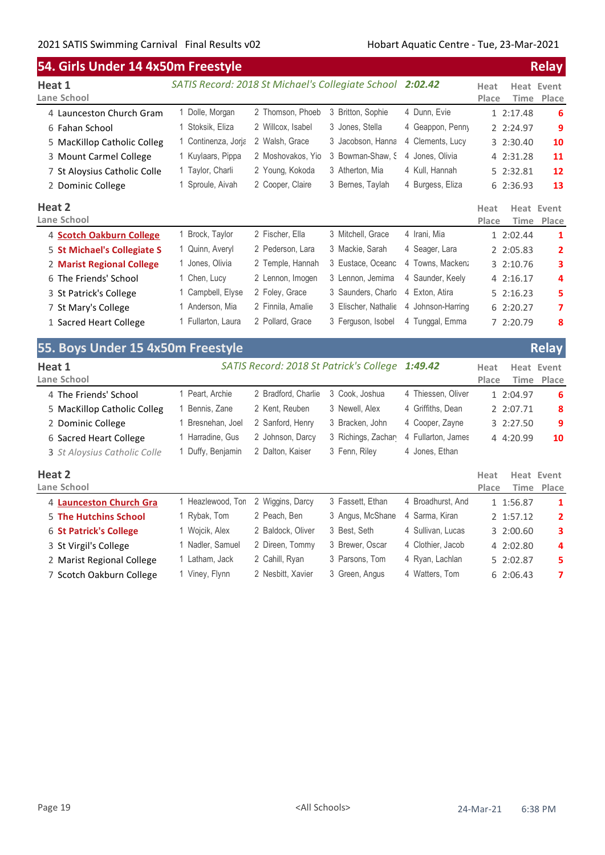|                                   | 54. Girls Under 14 4x50m Freestyle                |                                         |                      |                    |               |             | <b>Relay</b>               |  |  |
|-----------------------------------|---------------------------------------------------|-----------------------------------------|----------------------|--------------------|---------------|-------------|----------------------------|--|--|
| Heat 1<br>Lane School             | SATIS Record: 2018 St Michael's Collegiate School |                                         |                      | 2:02.42            | Heat<br>Place | Time        | <b>Heat Event</b><br>Place |  |  |
| 4 Launceston Church Gram          | 1 Dolle, Morgan                                   | 2 Thomson, Phoeb                        | 3 Britton, Sophie    | 4 Dunn, Evie       |               | 1 2:17.48   | 6                          |  |  |
| 6 Fahan School                    | 1 Stoksik, Eliza                                  | 2 Willcox, Isabel                       | 3 Jones, Stella      | 4 Geappon, Penny   |               | 2 2:24.97   | 9                          |  |  |
| 5 MacKillop Catholic Colleg       | 1 Continenza, Jorja                               | 2 Walsh, Grace                          | 3 Jacobson, Hanna    | 4 Clements, Lucy   |               | 3 2:30.40   | 10                         |  |  |
| 3 Mount Carmel College            | 1 Kuylaars, Pippa                                 | 2 Moshovakos, Yio                       | 3 Bowman-Shaw, S     | 4 Jones, Olivia    |               | 4 2:31.28   | 11                         |  |  |
| 7 St Aloysius Catholic Colle      | 1 Taylor, Charli                                  | 2 Young, Kokoda                         | 3 Atherton, Mia      | 4 Kull, Hannah     |               | 5 2:32.81   | 12                         |  |  |
| 2 Dominic College                 | 1 Sproule, Aivah                                  | 2 Cooper, Claire                        | 3 Bernes, Taylah     | 4 Burgess, Eliza   |               | 6 2:36.93   | 13                         |  |  |
| Heat 2                            |                                                   |                                         |                      |                    | Heat          |             | Heat Event                 |  |  |
| Lane School                       |                                                   |                                         |                      |                    | Place         | Time        | Place                      |  |  |
| 4 Scotch Oakburn College          | 1 Brock, Taylor                                   | 2 Fischer, Ella                         | 3 Mitchell, Grace    | 4 Irani, Mia       |               | 1 2:02.44   | 1                          |  |  |
| 5 St Michael's Collegiate S       | 1 Quinn, Averyl                                   | 2 Pederson, Lara                        | 3 Mackie, Sarah      | 4 Seager, Lara     |               | 2 2:05.83   | 2                          |  |  |
| 2 Marist Regional College         | 1 Jones, Olivia                                   | 2 Temple, Hannah                        | 3 Eustace, Oceanc    | 4 Towns, Macken:   |               | 3 2:10.76   | 3                          |  |  |
| 6 The Friends' School             | 1 Chen, Lucy                                      | 2 Lennon, Imogen                        | 3 Lennon, Jemima     | 4 Saunder, Keely   |               | 4 2:16.17   | 4                          |  |  |
| 3 St Patrick's College            | 1 Campbell, Elyse                                 | 2 Foley, Grace                          | 3 Saunders, Charlo   | 4 Exton, Atira     |               | 52:16.23    | 5                          |  |  |
| 7 St Mary's College               | 1 Anderson, Mia                                   | 2 Finnila, Amalie                       | 3 Elischer, Nathalie | 4 Johnson-Harring  |               | 6 2:20.27   | 7                          |  |  |
| 1 Sacred Heart College            | 1 Fullarton, Laura                                | 2 Pollard, Grace                        | 3 Ferguson, Isobel   | 4 Tunggal, Emma    |               | 7 2:20.79   | 8                          |  |  |
| 55. Boys Under 15 4x50m Freestyle |                                                   |                                         |                      |                    |               |             | <b>Relay</b>               |  |  |
| Heat 1                            |                                                   | SATIS Record: 2018 St Patrick's College |                      | 1:49.42            | Heat          |             | <b>Heat Event</b>          |  |  |
| Lane School                       |                                                   |                                         |                      |                    | Place         | <b>Time</b> | Place                      |  |  |
| 4 The Friends' School             | 1 Peart, Archie                                   | 2 Bradford, Charlie                     | 3 Cook, Joshua       | 4 Thiessen, Oliver |               | 1 2:04.97   | 6                          |  |  |
| 5 MacKillop Catholic Colleg       | 1 Bennis, Zane                                    | 2 Kent, Reuben                          | 3 Newell, Alex       | 4 Griffiths, Dean  |               | 2 2:07.71   | 8                          |  |  |
| 2 Dominic College                 | 1 Bresnehan, Joel                                 | 2 Sanford, Henry                        | 3 Bracken, John      | 4 Cooper, Zayne    |               | 3 2:27.50   | 9                          |  |  |

| 6 Sacred Heart College        | Harradine, Gus    | 2 Johnson, Darcy  | 3 Richings, Zachar | 4 Fullarton, James | 4 4:20.99<br>10                      |
|-------------------------------|-------------------|-------------------|--------------------|--------------------|--------------------------------------|
| 3 St Aloysius Catholic Colle  | 1 Duffy, Benjamin | 2 Dalton, Kaiser  | 3 Fenn, Riley      | 4 Jones, Ethan     |                                      |
| Heat 2                        |                   |                   |                    |                    | Heat Event<br>Heat                   |
| Lane School                   |                   |                   |                    |                    | Time Place<br>Place                  |
| 4 Launceston Church Gra       | 1 Heazlewood, Ton | 2 Wiggins, Darcy  | 3 Fassett, Ethan   | 4 Broadhurst, And  | 1 1:56.87<br>1                       |
| <b>5 The Hutchins School</b>  | 1 Rybak, Tom      | 2 Peach, Ben      | 3 Angus, McShane   | 4 Sarma, Kiran     | 2 1:57.12<br>$\overline{\mathbf{2}}$ |
| <b>6 St Patrick's College</b> | l Wojcik, Alex    | 2 Baldock, Oliver | 3 Best. Seth       | 4 Sullivan, Lucas  | 3<br>3 2:00.60                       |
| 3 St Virgil's College         | l Nadler, Samuel  | 2 Direen, Tommy   | 3 Brewer, Oscar    | 4 Clothier, Jacob  | 4 2:02.80<br>4                       |
| 2 Marist Regional College     | 1 Latham, Jack    | 2 Cahill, Ryan    | 3 Parsons, Tom     | 4 Ryan, Lachlan    | 5<br>5 2:02.87                       |

7 Scotch Oakburn College 1 Viney, Flynn 2 Nesbitt, Xavier 3 Green, Angus 4 Watters, Tom 6 2:06.43 7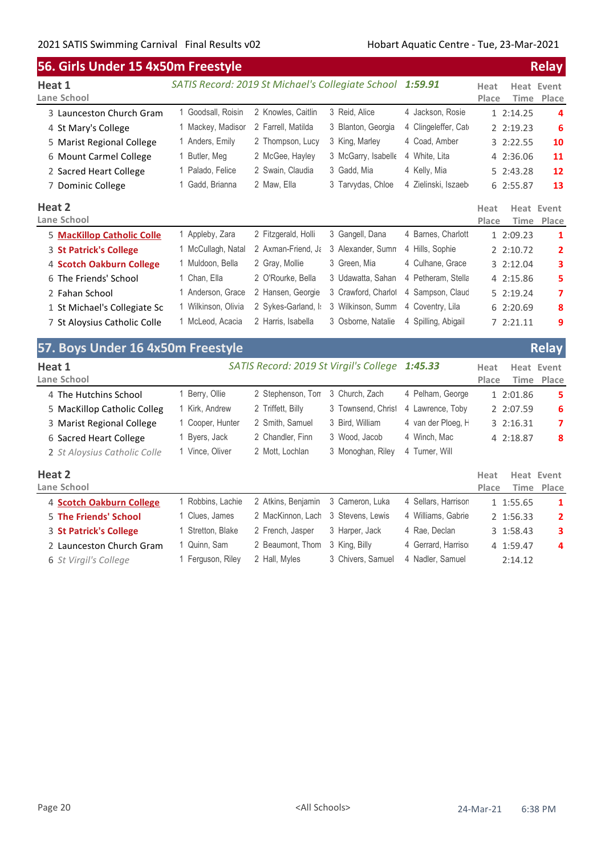| 56. Girls Under 15 4x50m Freestyle |                                                           |                                        |                     |                     |                       | <b>Relay</b>               |
|------------------------------------|-----------------------------------------------------------|----------------------------------------|---------------------|---------------------|-----------------------|----------------------------|
| Heat 1<br>Lane School              | SATIS Record: 2019 St Michael's Collegiate School 1:59.91 |                                        |                     |                     | Heat<br>Place<br>Time | <b>Heat Event</b><br>Place |
| 3 Launceston Church Gram           | 1 Goodsall, Roisin                                        | 2 Knowles, Caitlin                     | 3 Reid, Alice       | 4 Jackson, Rosie    | 1 2:14.25             | 4                          |
| 4 St Mary's College                | 1 Mackey, Madisor                                         | 2 Farrell, Matilda                     | 3 Blanton, Georgia  | 4 Clingeleffer, Cat | 2 2:19.23             | 6                          |
| 5 Marist Regional College          | 1 Anders, Emily                                           | 2 Thompson, Lucy                       | 3 King, Marley      | 4 Coad, Amber       | 3 2:22.55             | 10                         |
| 6 Mount Carmel College             | 1 Butler, Meg                                             | 2 McGee, Hayley                        | 3 McGarry, Isabelle | 4 White, Lita       | 4 2:36.06             | 11                         |
| 2 Sacred Heart College             | 1 Palado, Felice                                          | 2 Swain, Claudia                       | 3 Gadd, Mia         | 4 Kelly, Mia        | 5 2:43.28             | 12                         |
| 7 Dominic College                  | 1 Gadd, Brianna                                           | 2 Maw, Ella                            | 3 Tarvydas, Chloe   | 4 Zielinski, Iszaeb | 6 2:55.87             | 13                         |
| Heat 2<br>Lane School              |                                                           |                                        |                     |                     | Heat<br>Place<br>Time | Heat Event<br>Place        |
| 5 MacKillop Catholic Colle         | 1 Appleby, Zara                                           | 2 Fitzgerald, Holli                    | 3 Gangell, Dana     | 4 Barnes, Charlott  | 1 2:09.23             | 1                          |
| 3 St Patrick's College             | 1 McCullagh, Natal                                        | 2 Axman-Friend, Ja                     | 3 Alexander, Sumn   | 4 Hills, Sophie     | 2 2:10.72             | $\overline{2}$             |
| 4 Scotch Oakburn College           | 1 Muldoon, Bella                                          | 2 Gray, Mollie                         | 3 Green, Mia        | 4 Culhane, Grace    | 3 2:12.04             | 3                          |
| 6 The Friends' School              | 1 Chan, Ella                                              | 2 O'Rourke, Bella                      | 3 Udawatta, Sahan   | 4 Petheram, Stella  | 4 2:15.86             | 5                          |
| 2 Fahan School                     | 1 Anderson, Grace                                         | 2 Hansen, Georgie                      | 3 Crawford, Charlot | 4 Sampson, Claud    | 5 2:19.24             | 7                          |
| 1 St Michael's Collegiate Sc       | 1 Wilkinson, Olivia                                       | 2 Sykes-Garland, I:                    | 3 Wilkinson, Summ   | 4 Coventry, Lila    | 6 2:20.69             | 8                          |
| 7 St Aloysius Catholic Colle       | 1 McLeod, Acacia                                          | 2 Harris, Isabella                     | 3 Osborne, Natalie  | 4 Spilling, Abigail | 7 2:21.11             | 9                          |
| 57. Boys Under 16 4x50m Freestyle  |                                                           |                                        |                     |                     |                       | <b>Relay</b>               |
| Heat 1<br>Lane School              |                                                           | SATIS Record: 2019 St Virgil's College |                     | 1:45.33             | Heat<br>Place<br>Time | <b>Heat Event</b><br>Place |
| 4 The Hutchins School              | 1 Berry, Ollie                                            | 2 Stephenson, Ton                      | 3 Church, Zach      | 4 Pelham, George    | 1 2:01.86             | 5                          |
| 5 MacKillop Catholic Colleg        | 1 Kirk, Andrew                                            | 2 Triffett, Billy                      | 3 Townsend, Christ  | 4 Lawrence, Toby    | 2 2:07.59             | 6                          |
| 3 Marist Regional College          | 1 Cooper, Hunter                                          | 2 Smith, Samuel                        | 3 Bird, William     | 4 van der Ploeg, H  | 3 2:16.31             | 7                          |
| 6 Sacred Heart College             | 1 Byers, Jack                                             | 2 Chandler, Finn                       | 3 Wood, Jacob       | 4 Winch, Mac        | 4 2:18.87             | 8                          |
| 2 St Aloysius Catholic Colle       | 1 Vince, Oliver                                           | 2 Mott, Lochlan                        | 3 Monoghan, Riley   | 4 Turner, Will      |                       |                            |
| Heat 2<br>Lane School              |                                                           |                                        |                     |                     | Heat<br>Place<br>Time | Heat Event<br>Place        |
| 4 Scotch Oakburn College           | 1 Robbins, Lachie                                         | 2 Atkins, Benjamin                     | 3 Cameron, Luka     | 4 Sellars, Harrison | 1 1:55.65             | 1                          |
| <b>5 The Friends' School</b>       | 1 Clues, James                                            | 2 MacKinnon, Lach                      | 3 Stevens, Lewis    | 4 Williams, Gabrie  | 2 1:56.33             | 2                          |
| 3 St Patrick's College             | 1 Stretton, Blake                                         | 2 French, Jasper                       | 3 Harper, Jack      | 4 Rae, Declan       | 3 1:58.43             | 3                          |

2 Launceston Church Gram 1 Quinn, Sam 2 Beaumont, Thom 3 King, Billy 4 Gerrard, Harriso 4 1:59.47 4

6 *St Virgil's College* 1 Ferguson, Riley 2 Hall, Myles 3 Chivers, Samuel 4 Nadler, Samuel 2:14.12